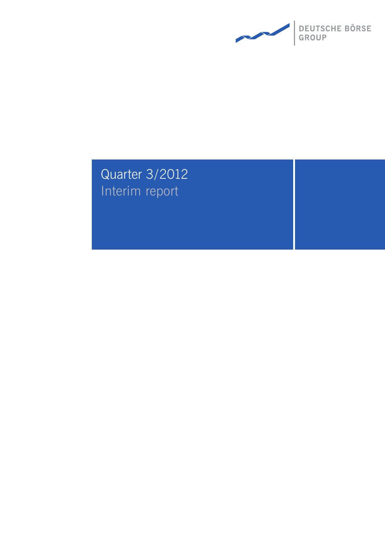

# Quarter 3/2012 Interim report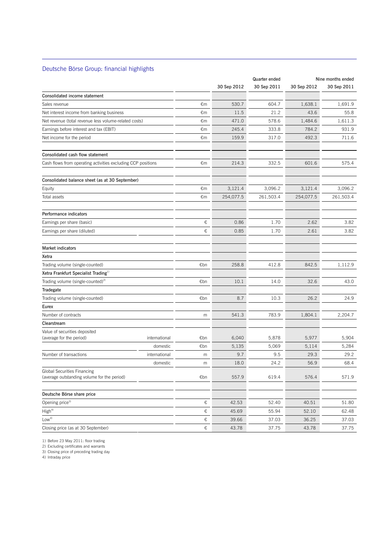## Deutsche Börse Group: financial highlights

 $\overline{a}$ 

|                                                                                   |       |             | Quarter ended |             | Nine months ended |
|-----------------------------------------------------------------------------------|-------|-------------|---------------|-------------|-------------------|
|                                                                                   |       | 30 Sep 2012 | 30 Sep 2011   | 30 Sep 2012 | 30 Sep 2011       |
| Consolidated income statement                                                     |       |             |               |             |                   |
| Sales revenue                                                                     | €m    | 530.7       | 604.7         | 1,638.1     | 1,691.9           |
| Net interest income from banking business                                         | €m    | 11.5        | 21.2          | 43.6        | 55.8              |
| Net revenue (total revenue less volume-related costs)                             | €m    | 471.0       | 578.6         | 1,484.6     | 1,611.3           |
| Earnings before interest and tax (EBIT)                                           | €m    | 245.4       | 333.8         | 784.2       | 931.9             |
| Net income for the period                                                         | €m    | 159.9       | 317.0         | 492.3       | 711.6             |
| Consolidated cash flow statement                                                  |       |             |               |             |                   |
| Cash flows from operating activities excluding CCP positions                      | €m    | 214.3       | 332.5         | 601.6       | 575.4             |
| Consolidated balance sheet (as at 30 September)                                   |       |             |               |             |                   |
| Equity                                                                            | €m    | 3,121.4     | 3,096.2       | 3,121.4     | 3,096.2           |
| Total assets                                                                      | €m    | 254,077.5   | 261,503.4     | 254,077.5   | 261,503.4         |
| Performance indicators                                                            |       |             |               |             |                   |
| Earnings per share (basic)                                                        | €     | 0.86        | 1.70          | 2.62        | 3.82              |
| Earnings per share (diluted)                                                      | €     | 0.85        | 1.70          | 2.61        | 3.82              |
| <b>Market indicators</b>                                                          |       |             |               |             |                   |
| Xetra                                                                             |       |             |               |             |                   |
| Trading volume (single-counted)                                                   | €bn   | 258.8       | 412.8         | 842.5       | 1,112.9           |
| Xetra Frankfurt Specialist Trading <sup>1)</sup>                                  |       |             |               |             |                   |
| Trading volume (single-counted) <sup>2)</sup>                                     | €bn   | 10.1        | 14.0          | 32.6        | 43.0              |
| Tradegate                                                                         |       |             |               |             |                   |
| Trading volume (single-counted)                                                   | €bn   | 8.7         | 10.3          | 26.2        | 24.9              |
| Eurex                                                                             |       |             |               |             |                   |
| Number of contracts                                                               | m     | 541.3       | 783.9         | 1,804.1     | 2,204.7           |
| Clearstream                                                                       |       |             |               |             |                   |
| Value of securities deposited                                                     |       |             |               |             |                   |
| (average for the period)<br>international                                         | €bn   | 6,040       | 5,878         | 5,977       | 5,904             |
| domestic                                                                          | €bn   | 5,135       | 5,069         | 5,114       | 5,284             |
| Number of transactions<br>international                                           | m     | 9.7         | 9.5           | 29.3        | 29.2              |
| domestic                                                                          | m     | 18.0        | 24.2          | 56.9        | 68.4              |
| <b>Global Securities Financing</b><br>(average outstanding volume for the period) | €bn   | 557.9       | 619.4         | 576.4       | 571.9             |
| Deutsche Börse share price                                                        |       |             |               |             |                   |
| Opening price <sup>3)</sup>                                                       | €     | 42.53       | 52.40         | 40.51       | 51.80             |
| High <sup>4</sup>                                                                 | €     | 45.69       | 55.94         | 52.10       | 62.48             |
| Low <sup>4</sup>                                                                  | €     | 39.66       | 37.03         | 36.25       | 37.03             |
| Closing price (as at 30 September)                                                | $\in$ | 43.78       | 37.75         | 43.78       | 37.75             |

1) Before 23 May 2011: floor trading

2) Excluding certificates and warrants

3) Closing price of preceding trading day

4) Intraday price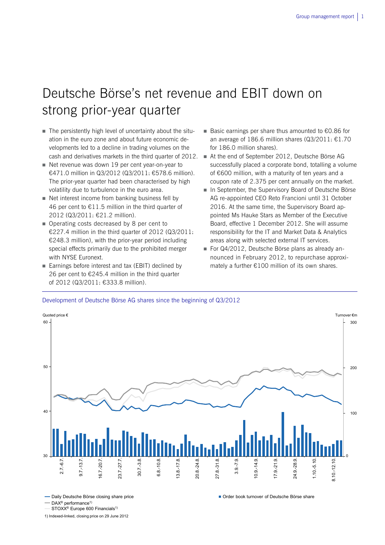# Deutsche Börse's net revenue and EBIT down on strong prior-year quarter

- The persistently high level of uncertainty about the situation in the euro zone and about future economic developments led to a decline in trading volumes on the
- Net revenue was down 19 per cent year-on-year to €471.0 million in Q3/2012 (Q3/2011: €578.6 million). The prior-year quarter had been characterised by high volatility due to turbulence in the euro area.
- Net interest income from banking business fell by 46 per cent to  $£11.5$  million in the third quarter of 2012 (Q3/2011: €21.2 million).
- Operating costs decreased by 8 per cent to €227.4 million in the third quarter of 2012 (Q3/2011: €248.3 million), with the prior-year period including special effects primarily due to the prohibited merger with NYSE Euronext.
- Earnings before interest and tax (EBIT) declined by 26 per cent to €245.4 million in the third quarter of 2012 (Q3/2011: €333.8 million).
- Basic earnings per share thus amounted to €0.86 for an average of 186.6 million shares (Q3/2011: €1.70 for 186.0 million shares).
- cash and derivatives markets in the third quarter of 2012. At the end of September 2012, Deutsche Börse AG successfully placed a corporate bond, totalling a volume of €600 million, with a maturity of ten years and a coupon rate of 2.375 per cent annually on the market.
	- In September, the Supervisory Board of Deutsche Börse AG re-appointed CEO Reto Francioni until 31 October 2016. At the same time, the Supervisory Board appointed Ms Hauke Stars as Member of the Executive Board, effective 1 December 2012. She will assume responsibility for the IT and Market Data & Analytics areas along with selected external IT services.
	- For Q4/2012, Deutsche Börse plans as already announced in February 2012, to repurchase approximately a further €100 million of its own shares.

### Development of Deutsche Börse AG shares since the beginning of Q3/2012



Daily Deutsche Börse closing share price Order book turnover of Deutsche Börse share

 $-$  DAX<sup>®</sup> performance<sup>1)</sup>

STOXX<sup>®</sup> Europe 600 Financials<sup>1)</sup>

1) Indexed-linked, closing price on 29 June 2012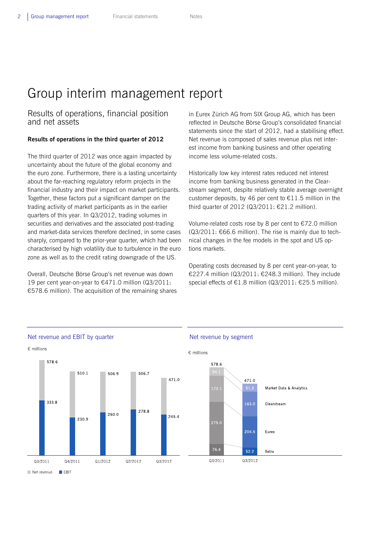# Group interim management report

## Results of operations, financial position and net assets

## **Results of operations in the third quarter of 2012**

The third quarter of 2012 was once again impacted by uncertainty about the future of the global economy and the euro zone. Furthermore, there is a lasting uncertainty about the far-reaching regulatory reform projects in the financial industry and their impact on market participants. Together, these factors put a significant damper on the trading activity of market participants as in the earlier quarters of this year. In Q3/2012, trading volumes in securities and derivatives and the associated post-trading and market-data services therefore declined, in some cases sharply, compared to the prior-year quarter, which had been characterised by high volatility due to turbulence in the euro zone as well as to the credit rating downgrade of the US.

Overall, Deutsche Börse Group's net revenue was down 19 per cent year-on-year to €471.0 million (Q3/2011: €578.6 million). The acquisition of the remaining shares in Eurex Zürich AG from SIX Group AG, which has been reflected in Deutsche Börse Group's consolidated financial statements since the start of 2012, had a stabilising effect. Net revenue is composed of sales revenue plus net interest income from banking business and other operating income less volume-related costs.

Historically low key interest rates reduced net interest income from banking business generated in the Clearstream segment, despite relatively stable average overnight customer deposits, by 46 per cent to  $£11.5$  million in the third quarter of 2012 (Q3/2011: €21.2 million).

Volume-related costs rose by 8 per cent to €72.0 million  $(Q3/2011: \text{\textsterling}66.6$  million). The rise is mainly due to technical changes in the fee models in the spot and US options markets.

Operating costs decreased by 8 per cent year-on-year, to €227.4 million (Q3/2011: €248.3 million). They include special effects of  $\epsilon$ 1.8 million (Q3/2011:  $\epsilon$ 25.5 million).

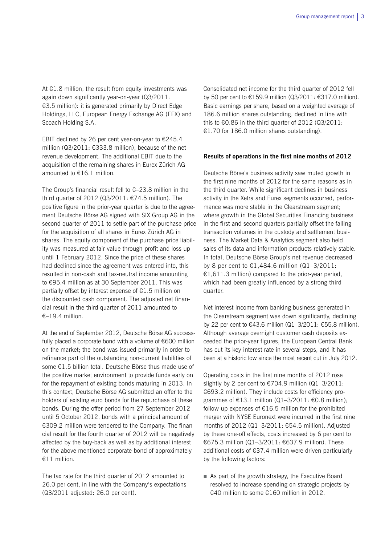At €1.8 million, the result from equity investments was again down significantly year-on-year (Q3/2011: €3.5 million): it is generated primarily by Direct Edge Holdings, LLC, European Energy Exchange AG (EEX) and Scoach Holding S.A.

EBIT declined by 26 per cent year-on-year to  $\epsilon$ 245.4 million (Q3/2011: €333.8 million), because of the net revenue development. The additional EBIT due to the acquisition of the remaining shares in Eurex Zürich AG amounted to €16.1 million.

The Group's financial result fell to  $\epsilon$ -23.8 million in the third quarter of 2012 (Q3/2011:  $€74.5$  million). The positive figure in the prior-year quarter is due to the agreement Deutsche Börse AG signed with SIX Group AG in the second quarter of 2011 to settle part of the purchase price for the acquisition of all shares in Eurex Zürich AG in shares. The equity component of the purchase price liability was measured at fair value through profit and loss up until 1 February 2012. Since the price of these shares had declined since the agreement was entered into, this resulted in non-cash and tax-neutral income amounting to €95.4 million as at 30 September 2011. This was partially offset by interest expense of €1.5 million on the discounted cash component. The adjusted net financial result in the third quarter of 2011 amounted to €–19.4 million.

At the end of September 2012, Deutsche Börse AG successfully placed a corporate bond with a volume of €600 million on the market; the bond was issued primarily in order to refinance part of the outstanding non-current liabilities of some €1.5 billion total. Deutsche Börse thus made use of the positive market environment to provide funds early on for the repayment of existing bonds maturing in 2013. In this context, Deutsche Börse AG submitted an offer to the holders of existing euro bonds for the repurchase of these bonds. During the offer period from 27 September 2012 until 5 October 2012, bonds with a principal amount of €309.2 million were tendered to the Company. The financial result for the fourth quarter of 2012 will be negatively affected by the buy-back as well as by additional interest for the above mentioned corporate bond of approximately €11 million.

The tax rate for the third quarter of 2012 amounted to 26.0 per cent, in line with the Company's expectations (Q3/2011 adjusted: 26.0 per cent).

Consolidated net income for the third quarter of 2012 fell by 50 per cent to €159.9 million (Q3/2011: €317.0 million). Basic earnings per share, based on a weighted average of 186.6 million shares outstanding, declined in line with this to €0.86 in the third quarter of 2012 (Q3/2011: €1.70 for 186.0 million shares outstanding).

#### **Results of operations in the first nine months of 2012**

Deutsche Börse's business activity saw muted growth in the first nine months of 2012 for the same reasons as in the third quarter. While significant declines in business activity in the Xetra and Eurex segments occurred, performance was more stable in the Clearstream segment; where growth in the Global Securities Financing business in the first and second quarters partially offset the falling transaction volumes in the custody and settlement business. The Market Data & Analytics segment also held sales of its data and information products relatively stable. In total, Deutsche Börse Group's net revenue decreased by 8 per cent to €1,484.6 million  $(Q1−3/2011$ : €1,611.3 million) compared to the prior-year period, which had been greatly influenced by a strong third quarter.

Net interest income from banking business generated in the Clearstream segment was down significantly, declining by 22 per cent to €43.6 million (Q1–3/2011: €55.8 million). Although average overnight customer cash deposits exceeded the prior-year figures, the European Central Bank has cut its key interest rate in several steps, and it has been at a historic low since the most recent cut in July 2012.

Operating costs in the first nine months of 2012 rose slightly by 2 per cent to  $\epsilon$ 704.9 million (Q1-3/2011: €693.2 million). They include costs for efficiency programmes of €13.1 million (Q1–3/2011: €0.8 million); follow-up expenses of  $£16.5$  million for the prohibited merger with NYSE Euronext were incurred in the first nine months of 2012 (Q1–3/2011: €54.5 million). Adjusted by these one-off effects, costs increased by 6 per cent to €675.3 million (Q1–3/2011: €637.9 million). These additional costs of €37.4 million were driven particularly by the following factors:

As part of the growth strategy, the Executive Board resolved to increase spending on strategic projects by €40 million to some €160 million in 2012.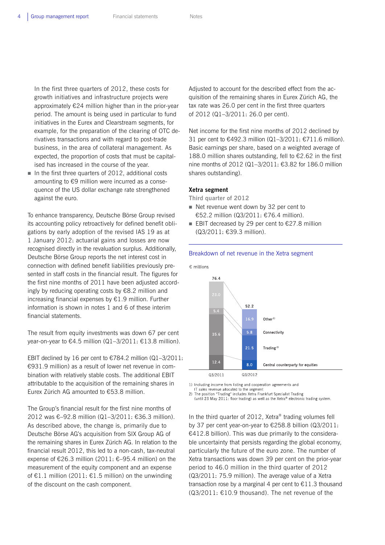In the first three quarters of 2012, these costs for growth initiatives and infrastructure projects were approximately €24 million higher than in the prior-year period. The amount is being used in particular to fund initiatives in the Eurex and Clearstream segments, for example, for the preparation of the clearing of OTC derivatives transactions and with regard to post-trade business, in the area of collateral management. As expected, the proportion of costs that must be capitalised has increased in the course of the year.

In the first three quarters of 2012, additional costs amounting to €9 million were incurred as a consequence of the US dollar exchange rate strengthened against the euro.

To enhance transparency, Deutsche Börse Group revised its accounting policy retroactively for defined benefit obligations by early adoption of the revised IAS 19 as at 1 January 2012: actuarial gains and losses are now recognised directly in the revaluation surplus. Additionally, Deutsche Börse Group reports the net interest cost in connection with defined benefit liabilities previously presented in staff costs in the financial result. The figures for the first nine months of 2011 have been adjusted accordingly by reducing operating costs by €8.2 million and increasing financial expenses by  $E1.9$  million. Further information is shown in notes 1 and 6 of these interim financial statements.

The result from equity investments was down 67 per cent year-on-year to €4.5 million (Q1-3/2011: €13.8 million).

EBIT declined by 16 per cent to  $\epsilon$ 784.2 million (Q1-3/2011: €931.9 million) as a result of lower net revenue in combination with relatively stable costs. The additional EBIT attributable to the acquisition of the remaining shares in Eurex Zürich AG amounted to €53.8 million.

The Group's financial result for the first nine months of 2012 was €–92.8 million (Q1–3/2011: €36.3 million). As described above, the change is, primarily due to Deutsche Börse AG's acquisition from SIX Group AG of the remaining shares in Eurex Zürich AG. In relation to the financial result 2012, this led to a non-cash, tax-neutral expense of  $\epsilon$ 26.3 million (2011:  $\epsilon$ -95.4 million) on the measurement of the equity component and an expense of  $€1.1$  million (2011:  $€1.5$  million) on the unwinding of the discount on the cash component.

Adjusted to account for the described effect from the acquisition of the remaining shares in Eurex Zürich AG, the tax rate was 26.0 per cent in the first three quarters of 2012 (Q1–3/2011: 26.0 per cent).

Net income for the first nine months of 2012 declined by 31 per cent to €492.3 million (Q1–3/2011: €711.6 million). Basic earnings per share, based on a weighted average of 188.0 million shares outstanding, fell to €2.62 in the first nine months of 2012 (Q1–3/2011: €3.82 for 186.0 million shares outstanding).

#### **Xetra segment**

**Third quarter of 2012** 

- Net revenue went down by 32 per cent to €52.2 million (Q3/2011: €76.4 million).
- EBIT decreased by 29 per cent to  $£27.8$  million (Q3/2011: €39.3 million).

#### Breakdown of net revenue in the Xetra segment



1) Including income from listing and cooperation agreements and

IT sales revenue allocated to the segment

2) The position "Trading" includes Xetra Frankfurt Specialist Trading (until 23 May 2011: floor trading) as well as the Xetra® electronic trading system.

In the third quarter of 2012, Xetra® trading volumes fell by 37 per cent year-on-year to €258.8 billion (Q3/2011: €412.8 billion). This was due primarily to the considerable uncertainty that persists regarding the global economy, particularly the future of the euro zone. The number of Xetra transactions was down 39 per cent on the prior-year period to 46.0 million in the third quarter of 2012 (Q3/2011: 75.9 million). The average value of a Xetra

transaction rose by a marginal 4 per cent to  $\epsilon$ 11.3 thousand (Q3/2011: €10.9 thousand). The net revenue of the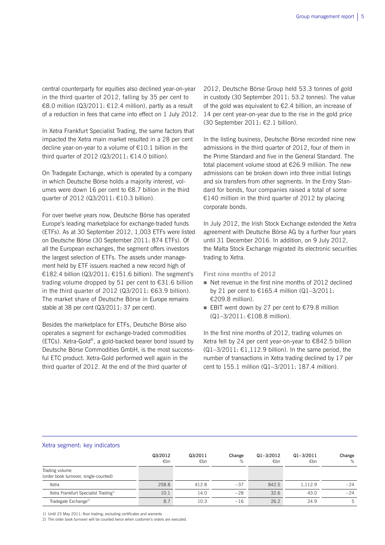central counterparty for equities also declined year-on-year in the third quarter of 2012, falling by 35 per cent to €8.0 million (Q3/2011: €12.4 million), partly as a result of a reduction in fees that came into effect on 1 July 2012.

In Xetra Frankfurt Specialist Trading, the same factors that impacted the Xetra main market resulted in a 28 per cent decline year-on-year to a volume of €10.1 billion in the third quarter of 2012 ( $Q3/2011: \text{£}14.0$  billion).

On Tradegate Exchange, which is operated by a company in which Deutsche Börse holds a majority interest, volumes were down 16 per cent to €8.7 billion in the third quarter of 2012 (Q3/2011: €10.3 billion).

For over twelve years now, Deutsche Börse has operated Europe's leading marketplace for exchange-traded funds (ETFs). As at 30 September 2012, 1,003 ETFs were listed on Deutsche Börse (30 September 2011: 874 ETFs). Of all the European exchanges, the segment offers investors the largest selection of ETFs. The assets under management held by ETF issuers reached a new record high of €182.4 billion (Q3/2011: €151.6 billion). The segment's trading volume dropped by 51 per cent to €31.6 billion in the third quarter of 2012 (Q3/2011: €63.9 billion). The market share of Deutsche Börse in Europe remains stable at 38 per cent (Q3/2011: 37 per cent).

Besides the marketplace for ETFs, Deutsche Börse also operates a segment for exchange-traded commodities (ETCs). Xetra-Gold®, a gold-backed bearer bond issued by Deutsche Börse Commodities GmbH, is the most successful ETC product. Xetra-Gold performed well again in the third quarter of 2012. At the end of the third quarter of

2012, Deutsche Börse Group held 53.3 tonnes of gold in custody (30 September 2011: 53.2 tonnes). The value of the gold was equivalent to  $\epsilon$ 2.4 billion, an increase of 14 per cent year-on-year due to the rise in the gold price (30 September 2011: €2.1 billion).

In the listing business, Deutsche Börse recorded nine new admissions in the third quarter of 2012, four of them in the Prime Standard and five in the General Standard. The total placement volume stood at €26.9 million. The new admissions can be broken down into three initial listings and six transfers from other segments. In the Entry Standard for bonds, four companies raised a total of some €140 million in the third quarter of 2012 by placing corporate bonds.

In July 2012, the Irish Stock Exchange extended the Xetra agreement with Deutsche Börse AG by a further four years until 31 December 2016. In addition, on 9 July 2012, the Malta Stock Exchange migrated its electronic securities trading to Xetra.

**First nine months of 2012** 

- Net revenue in the first nine months of 2012 declined by 21 per cent to €165.4 million  $(Q1−3/2011$ : €209.8 million).
- EBIT went down by 27 per cent to  $£79.8$  million (Q1–3/2011: €108.8 million).

In the first nine months of 2012, trading volumes on Xetra fell by 24 per cent year-on-year to €842.5 billion  $(Q1-3/2011: \text{ } \in 1,112.9 \text{ billion})$ . In the same period, the number of transactions in Xetra trading declined by 17 per cent to 155.1 million (Q1–3/2011: 187.4 million).

#### Xetra segment: key indicators

|                                                         | Q3/2012<br>€bn | Q3/2011<br>€bn | Change<br>% | $Q1 - 3/2012$<br>€bn | $Q1 - 3/2011$<br>€bn | Change<br>% |
|---------------------------------------------------------|----------------|----------------|-------------|----------------------|----------------------|-------------|
| Trading volume<br>(order book turnover, single-counted) |                |                |             |                      |                      |             |
| Xetra                                                   | 258.8          | 412.8          | $-37$       | 842.5                | 1,112.9              | $-24$       |
| Xetra Frankfurt Specialist Trading <sup>1)</sup>        | 10.1           | 14.0           | $-28$       | 32.6                 | 43.0                 | $-24$       |
| Tradegate Exchange <sup>2)</sup>                        | 8.7            | 10.3           | $-16$       | 26.2                 | 24.9                 | 5           |

1) Until 23 May 2011: floor trading; excluding certificates and warrants

2) The order book turnover will be counted twice when customer's orders are executed.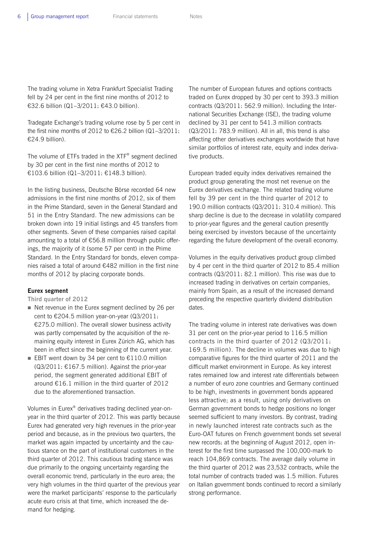The trading volume in Xetra Frankfurt Specialist Trading fell by 24 per cent in the first nine months of 2012 to €32.6 billion (Q1–3/2011: €43.0 billion).

Tradegate Exchange's trading volume rose by 5 per cent in the first nine months of 2012 to €26.2 billion (Q1–3/2011: €24.9 billion).

The volume of ETFs traded in the XTF® segment declined by 30 per cent in the first nine months of 2012 to €103.6 billion (Q1–3/2011: €148.3 billion).

In the listing business, Deutsche Börse recorded 64 new admissions in the first nine months of 2012, six of them in the Prime Standard, seven in the General Standard and 51 in the Entry Standard. The new admissions can be broken down into 19 initial listings and 45 transfers from other segments. Seven of these companies raised capital amounting to a total of €56.8 million through public offerings, the majority of it (some 57 per cent) in the Prime Standard. In the Entry Standard for bonds, eleven companies raised a total of around €482 million in the first nine months of 2012 by placing corporate bonds.

### **Eurex segment**

**Third quarter of 2012** 

- Net revenue in the Eurex segment declined by 26 per cent to €204.5 million year-on-year (Q3/2011: €275.0 million). The overall slower business activity was partly compensated by the acquisition of the remaining equity interest in Eurex Zürich AG, which has been in effect since the beginning of the current year.
- EBIT went down by 34 per cent to  $€110.0$  million  $(Q3/2011: \text{£}167.5$  million). Against the prior-year period, the segment generated additional EBIT of around €16.1 million in the third quarter of 2012 due to the aforementioned transaction.

Volumes in Eurex® derivatives trading declined year-onyear in the third quarter of 2012. This was partly because Eurex had generated very high revenues in the prior-year period and because, as in the previous two quarters, the market was again impacted by uncertainty and the cautious stance on the part of institutional customers in the third quarter of 2012. This cautious trading stance was due primarily to the ongoing uncertainty regarding the overall economic trend, particularly in the euro area; the very high volumes in the third quarter of the previous year were the market participants' response to the particularly acute euro crisis at that time, which increased the demand for hedging.

The number of European futures and options contracts traded on Eurex dropped by 30 per cent to 393.3 million contracts (Q3/2011: 562.9 million). Including the International Securities Exchange (ISE), the trading volume declined by 31 per cent to 541.3 million contracts (Q3/2011: 783.9 million). All in all, this trend is also affecting other derivatives exchanges worldwide that have similar portfolios of interest rate, equity and index derivative products.

European traded equity index derivatives remained the product group generating the most net revenue on the Eurex derivatives exchange. The related trading volume fell by 39 per cent in the third quarter of 2012 to 190.0 million contracts (Q3/2011: 310.4 million). This sharp decline is due to the decrease in volatility compared to prior-year figures and the general caution presently being exercised by investors because of the uncertainty regarding the future development of the overall economy.

Volumes in the equity derivatives product group climbed by 4 per cent in the third quarter of 2012 to 85.4 million contracts (Q3/2011: 82.1 million). This rise was due to increased trading in derivatives on certain companies, mainly from Spain, as a result of the increased demand preceding the respective quarterly dividend distribution dates.

The trading volume in interest rate derivatives was down 31 per cent on the prior-year period to 116.5 million contracts in the third quarter of 2012 (Q3/2011: 169.5 million). The decline in volumes was due to high comparative figures for the third quarter of 2011 and the difficult market environment in Europe. As key interest rates remained low and interest rate differentials between a number of euro zone countries and Germany continued to be high, investments in government bonds appeared less attractive; as a result, using only derivatives on German government bonds to hedge positions no longer seemed sufficient to many investors. By contrast, trading in newly launched interest rate contracts such as the Euro-OAT futures on French government bonds set several new records: at the beginning of August 2012, open interest for the first time surpassed the 100,000-mark to reach 104,869 contracts. The average daily volume in the third quarter of 2012 was 23,532 contracts, while the total number of contracts traded was 1.5 million. Futures on Italian government bonds continued to record a similarly strong performance.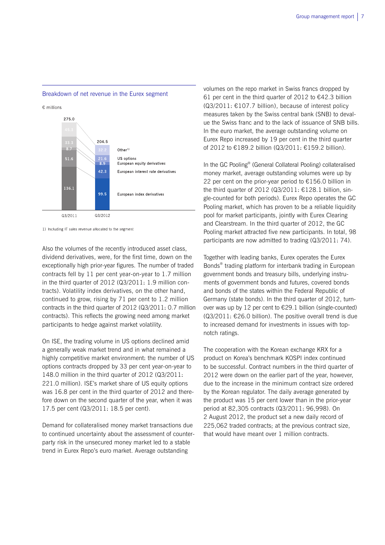

## Breakdown of net revenue in the Eurex segment

 $\epsilon$  millions

1) Including IT sales revenue allocated to the segment

Also the volumes of the recently introduced asset class, dividend derivatives, were, for the first time, down on the exceptionally high prior-year figures. The number of traded contracts fell by 11 per cent year-on-year to 1.7 million in the third quarter of 2012 (Q3/2011: 1.9 million contracts). Volatility index derivatives, on the other hand, continued to grow, rising by 71 per cent to 1.2 million contracts in the third quarter of 2012 (Q3/2011: 0.7 million contracts). This reflects the growing need among market participants to hedge against market volatility.

On ISE, the trading volume in US options declined amid a generally weak market trend and in what remained a highly competitive market environment: the number of US options contracts dropped by 33 per cent year-on-year to 148.0 million in the third quarter of 2012 (Q3/2011: 221.0 million). ISE's market share of US equity options was 16.8 per cent in the third quarter of 2012 and therefore down on the second quarter of the year, when it was 17.5 per cent (Q3/2011: 18.5 per cent).

Demand for collateralised money market transactions due to continued uncertainty about the assessment of counterparty risk in the unsecured money market led to a stable trend in Eurex Repo's euro market. Average outstanding

volumes on the repo market in Swiss francs dropped by 61 per cent in the third quarter of 2012 to  $\epsilon$ 42.3 billion  $(Q3/2011: \text{ } \in 107.7 \text{ billion})$ , because of interest policy measures taken by the Swiss central bank (SNB) to devalue the Swiss franc and to the lack of issuance of SNB bills. In the euro market, the average outstanding volume on Eurex Repo increased by 19 per cent in the third quarter of 2012 to €189.2 billion (Q3/2011: €159.2 billion).

In the GC Pooling® (General Collateral Pooling) collateralised money market, average outstanding volumes were up by 22 per cent on the prior-year period to €156.0 billion in the third quarter of 2012 (Q3/2011: €128.1 billion, single-counted for both periods). Eurex Repo operates the GC Pooling market, which has proven to be a reliable liquidity pool for market participants, jointly with Eurex Clearing and Clearstream. In the third quarter of 2012, the GC Pooling market attracted five new participants. In total, 98 participants are now admitted to trading (Q3/2011: 74).

Together with leading banks, Eurex operates the Eurex Bonds® trading platform for interbank trading in European government bonds and treasury bills, underlying instruments of government bonds and futures, covered bonds and bonds of the states within the Federal Republic of Germany (state bonds). In the third quarter of 2012, turnover was up by 12 per cent to €29.1 billion (single-counted)  $(03/2011: \text{£}26.0$  billion). The positive overall trend is due to increased demand for investments in issues with topnotch ratings.

The cooperation with the Korean exchange KRX for a product on Korea's benchmark KOSPI index continued to be successful. Contract numbers in the third quarter of 2012 were down on the earlier part of the year, however, due to the increase in the minimum contract size ordered by the Korean regulator. The daily average generated by the product was 15 per cent lower than in the prior-year period at 82,305 contracts (Q3/2011: 96,998). On 2 August 2012, the product set a new daily record of 225,062 traded contracts; at the previous contract size, that would have meant over 1 million contracts.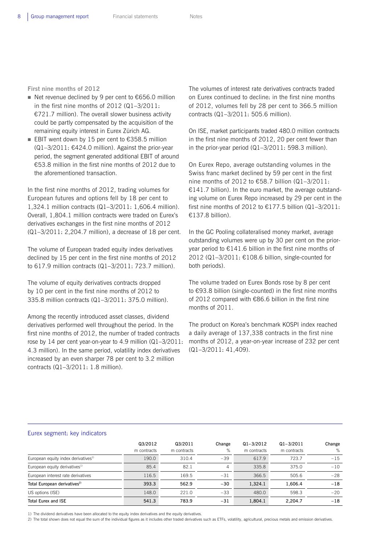**First nine months of 2012** 

- Net revenue declined by 9 per cent to  $€656.0$  million in the first nine months of 2012 (Q1–3/2011: €721.7 million). The overall slower business activity could be partly compensated by the acquisition of the remaining equity interest in Eurex Zürich AG.
- EBIT went down by 15 per cent to  $€358.5$  million (Q1–3/2011: €424.0 million). Against the prior-year period, the segment generated additional EBIT of around €53.8 million in the first nine months of 2012 due to the aforementioned transaction.

In the first nine months of 2012, trading volumes for European futures and options fell by 18 per cent to 1,324.1 million contracts (Q1–3/2011: 1,606.4 million). Overall, 1,804.1 million contracts were traded on Eurex's derivatives exchanges in the first nine months of 2012 (Q1–3/2011: 2,204.7 million), a decrease of 18 per cent.

The volume of European traded equity index derivatives declined by 15 per cent in the first nine months of 2012 to 617.9 million contracts (Q1–3/2011: 723.7 million).

The volume of equity derivatives contracts dropped by 10 per cent in the first nine months of 2012 to 335.8 million contracts (Q1–3/2011: 375.0 million).

Among the recently introduced asset classes, dividend derivatives performed well throughout the period. In the first nine months of 2012, the number of traded contracts rose by 14 per cent year-on-year to 4.9 million (Q1–3/2011: 4.3 million). In the same period, volatility index derivatives increased by an even sharper 78 per cent to 3.2 million contracts (Q1–3/2011: 1.8 million).

The volumes of interest rate derivatives contracts traded on Eurex continued to decline: in the first nine months of 2012, volumes fell by 28 per cent to 366.5 million contracts (Q1–3/2011: 505.6 million).

On ISE, market participants traded 480.0 million contracts in the first nine months of 2012, 20 per cent fewer than in the prior-year period (Q1–3/2011: 598.3 million).

On Eurex Repo, average outstanding volumes in the Swiss franc market declined by 59 per cent in the first nine months of 2012 to €58.7 billion  $(Q1-3/2011)$ : €141.7 billion). In the euro market, the average outstanding volume on Eurex Repo increased by 29 per cent in the first nine months of 2012 to  $£177.5$  billion (Q1-3/2011: €137.8 billion).

In the GC Pooling collateralised money market, average outstanding volumes were up by 30 per cent on the prioryear period to €141.6 billion in the first nine months of 2012 (Q1–3/2011: €108.6 billion, single-counted for both periods).

The volume traded on Eurex Bonds rose by 8 per cent to €93.8 billion (single-counted) in the first nine months of 2012 compared with €86.6 billion in the first nine months of 2011.

The product on Korea's benchmark KOSPI index reached a daily average of 137,338 contracts in the first nine months of 2012, a year-on-year increase of 232 per cent (Q1–3/2011: 41,409).

#### Eurex segment: key indicators

|                                                 | Q3/2012<br>m contracts | Q3/2011<br>m contracts | Change<br>% | $Q1 - 3/2012$<br>m contracts | $Q1 - 3/2011$<br>m contracts | Change<br>% |
|-------------------------------------------------|------------------------|------------------------|-------------|------------------------------|------------------------------|-------------|
| European equity index derivatives <sup>1)</sup> | 190.0                  | 310.4                  | $-39$       | 617.9                        | 723.7                        | $-15$       |
| European equity derivatives <sup>1)</sup>       | 85.4                   | 82.1                   | 4           | 335.8                        | 375.0                        | $-10$       |
| European interest rate derivatives              | 116.5                  | 169.5                  | $-31$       | 366.5                        | 505.6                        | $-28$       |
| Total European derivatives <sup>2)</sup>        | 393.3                  | 562.9                  | $-30$       | 1.324.1                      | 1.606.4                      | $-18$       |
| US options (ISE)                                | 148.0                  | 221.0                  | $-33$       | 480.0                        | 598.3                        | $-20$       |
| <b>Total Eurex and ISE</b>                      | 541.3                  | 783.9                  | $-31$       | 1.804.1                      | 2,204.7                      | $-18$       |

1) The dividend derivatives have been allocated to the equity index derivatives and the equity derivatives.

2) The total shown does not equal the sum of the individual figures as it includes other traded derivatives such as ETFs, volatility, agricultural, precious metals and emission derivatives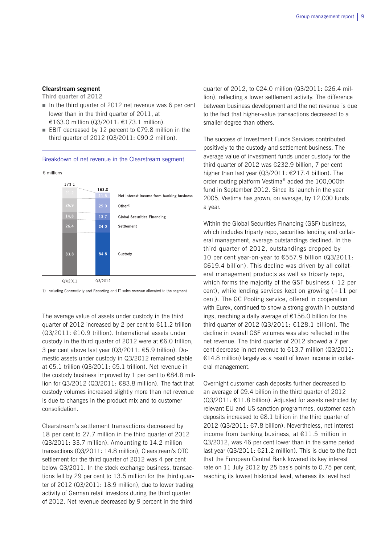### **Clearstream segment**

**Third quarter of 2012** 

- In the third quarter of 2012 net revenue was 6 per cent lower than in the third quarter of 2011, at €163.0 million (Q3/2011: €173.1 million).
- EBIT decreased by 12 percent to  $€79.8$  million in the third quarter of 2012 (Q3/2011: €90.2 million).

#### Breakdown of net revenue in the Clearstream segment





1) Including Connectivity and Reporting and IT sales revenue allocated to the segment

The average value of assets under custody in the third quarter of 2012 increased by 2 per cent to €11.2 trillion (Q3/2011: €10.9 trillion). International assets under custody in the third quarter of 2012 were at €6.0 trillion, 3 per cent above last year (Q3/2011: €5.9 trillion). Domestic assets under custody in Q3/2012 remained stable at €5.1 trillion (Q3/2011: €5.1 trillion). Net revenue in the custody business improved by 1 per cent to  $\epsilon$ 84.8 million for Q3/2012 (Q3/2011: €83.8 million). The fact that custody volumes increased slightly more than net revenue is due to changes in the product mix and to customer consolidation.

Clearstream's settlement transactions decreased by 18 per cent to 27.7 million in the third quarter of 2012 (Q3/2011: 33.7 million). Amounting to 14.2 million transactions (Q3/2011: 14.8 million), Clearstream's OTC settlement for the third quarter of 2012 was 4 per cent below Q3/2011. In the stock exchange business, transactions fell by 29 per cent to 13.5 million for the third quarter of 2012 (Q3/2011: 18.9 million), due to lower trading activity of German retail investors during the third quarter of 2012. Net revenue decreased by 9 percent in the third

quarter of 2012, to €24.0 million (Q3/2011: €26.4 million), reflecting a lower settlement activity. The difference between business development and the net revenue is due to the fact that higher-value transactions decreased to a smaller degree than others.

The success of Investment Funds Services contributed positively to the custody and settlement business. The average value of investment funds under custody for the third quarter of 2012 was €232.9 billion, 7 per cent higher than last year (Q3/2011: €217.4 billion). The order routing platform Vestima® added the 100,000th fund in September 2012. Since its launch in the year 2005, Vestima has grown, on average, by 12,000 funds a year.

Within the Global Securities Financing (GSF) business, which includes triparty repo, securities lending and collateral management, average outstandings declined. In the third quarter of 2012, outstandings dropped by 10 per cent year-on-year to €557.9 billion (Q3/2011: €619.4 billion). This decline was driven by all collateral management products as well as triparty repo, which forms the majority of the GSF business (–12 per cent), while lending services kept on growing  $(+11$  per cent). The GC Pooling service, offered in cooperation with Eurex, continued to show a strong growth in outstandings, reaching a daily average of €156.0 billion for the third quarter of 2012 (Q3/2011:  $£128.1$  billion). The decline in overall GSF volumes was also reflected in the net revenue. The third quarter of 2012 showed a 7 per cent decrease in net revenue to €13.7 million (Q3/2011: €14.8 million) largely as a result of lower income in collateral management.

Overnight customer cash deposits further decreased to an average of €9.4 billion in the third quarter of 2012 (Q3/2011: €11.8 billion). Adjusted for assets restricted by relevant EU and US sanction programmes, customer cash deposits increased to €8.1 billion in the third quarter of 2012 (Q3/2011: €7.8 billion). Nevertheless, net interest income from banking business, at  $£11.5$  million in Q3/2012, was 46 per cent lower than in the same period last year  $(Q3/2011: \text{\textsterling}21.2 \text{ million})$ . This is due to the fact that the European Central Bank lowered its key interest rate on 11 July 2012 by 25 basis points to 0.75 per cent, reaching its lowest historical level, whereas its level had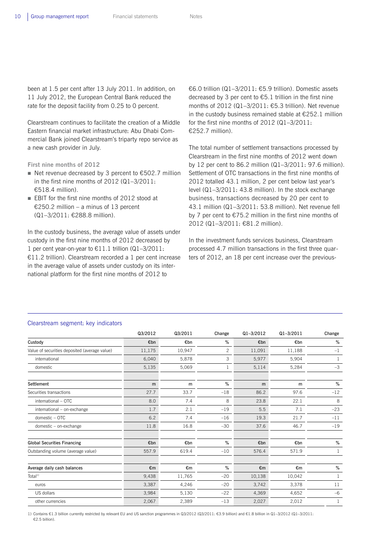been at 1.5 per cent after 13 July 2011. In addition, on 11 July 2012, the European Central Bank reduced the rate for the deposit facility from 0.25 to 0 percent.

Clearstream continues to facilitate the creation of a Middle Eastern financial market infrastructure: Abu Dhabi Commercial Bank joined Clearstream's triparty repo service as a new cash provider in July.

**First nine months of 2012** 

- Net revenue decreased by 3 percent to  $£502.7$  million in the first nine months of 2012 (Q1–3/2011:  $£518.4$  million).
- EBIT for the first nine months of 2012 stood at €250.2 million – a minus of 13 percent (Q1–3/2011: €288.8 million).

In the custody business, the average value of assets under custody in the first nine months of 2012 decreased by 1 per cent year-on-year to €11.1 trillion (Q1–3/2011: €11.2 trillion). Clearstream recorded a 1 per cent increase in the average value of assets under custody on its international platform for the first nine months of 2012 to

€6.0 trillion (Q1–3/2011: €5.9 trillion). Domestic assets decreased by 3 per cent to  $\epsilon$ 5.1 trillion in the first nine months of 2012 (Q1–3/2011: €5.3 trillion). Net revenue in the custody business remained stable at  $£252.1$  million for the first nine months of 2012 (Q1–3/2011: €252.7 million).

The total number of settlement transactions processed by Clearstream in the first nine months of 2012 went down by 12 per cent to 86.2 million (Q1–3/2011: 97.6 million). Settlement of OTC transactions in the first nine months of 2012 totalled 43.1 million, 2 per cent below last year's level (Q1–3/2011: 43.8 million). In the stock exchange business, transactions decreased by 20 per cent to 43.1 million (Q1–3/2011: 53.8 million). Net revenue fell by 7 per cent to €75.2 million in the first nine months of 2012 (Q1–3/2011: €81.2 million).

In the investment funds services business, Clearstream processed 4.7 million transactions in the first three quarters of 2012, an 18 per cent increase over the previous-

|                                               | Q3/2012 | Q3/2011 | Change         | $Q1 - 3/2012$ | $Q1 - 3/2011$ | Change       |
|-----------------------------------------------|---------|---------|----------------|---------------|---------------|--------------|
| Custody                                       | €bn     | €bn     | %              | €bn           | €bn           | %            |
| Value of securities deposited (average value) | 11,175  | 10,947  | $\overline{c}$ | 11,091        | 11,188        | $-1$         |
| international                                 | 6,040   | 5,878   | 3              | 5,977         | 5,904         | 1            |
| domestic                                      | 5,135   | 5,069   | 1              | 5,114         | 5,284         | $-3$         |
| Settlement                                    | m       | m       | %              | m             | m             | %            |
| Securities transactions                       | 27.7    | 33.7    | $-18$          | 86.2          | 97.6          | $-12$        |
| international - OTC                           | 8.0     | 7.4     | 8              | 23.8          | 22.1          | 8            |
| international - on-exchange                   | 1.7     | 2.1     | $-19$          | 5.5           | 7.1           | $-23$        |
| domestic - OTC                                | 6.2     | 7.4     | $-16$          | 19.3          | 21.7          | $-11$        |
| domestic - on-exchange                        | 11.8    | 16.8    | $-30$          | 37.6          | 46.7          | $-19$        |
| <b>Global Securities Financing</b>            | €bn     | €bn     | %              | €bn           | €bn           | %            |
| Outstanding volume (average value)            | 557.9   | 619.4   | $-10$          | 576.4         | 571.9         | $\mathbf{1}$ |
| Average daily cash balances                   | €m      | €m      | %              | €m            | €m            | %            |
| Total $1$                                     | 9,438   | 11,765  | $-20$          | 10,138        | 10,042        | 1            |
| euros                                         | 3,387   | 4,246   | $-20$          | 3,742         | 3,378         | 11           |
| US dollars                                    | 3,984   | 5,130   | $-22$          | 4,369         | 4,652         | $-6$         |
| other currencies                              | 2,067   | 2,389   | $-13$          | 2,027         | 2,012         | 1            |

## Clearstream segment: key indicators

1) Contains €1.3 billion currently restricted by relevant EU and US sanction programmes in Q3/2012 (Q3/2011: €3.9 billion) and €1.8 billion in Q1–3/2012 (Q1–3/2011: €2.5 billion).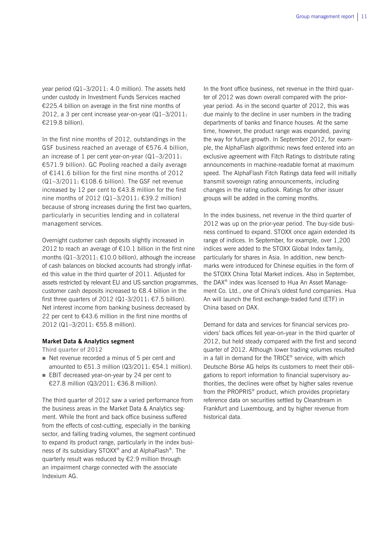year period (Q1–3/2011: 4.0 million). The assets held under custody in Investment Funds Services reached €225.4 billion on average in the first nine months of 2012, a 3 per cent increase year-on-year (Q1–3/2011: €219.8 billion).

In the first nine months of 2012, outstandings in the GSF business reached an average of €576.4 billion, an increase of 1 per cent year-on-year (Q1–3/2011: €571.9 billion). GC Pooling reached a daily average of €141.6 billion for the first nine months of 2012  $(Q1-3/2011: \text{£}108.6$  billion). The GSF net revenue increased by 12 per cent to €43.8 million for the first nine months of 2012 (Q1–3/2011: €39.2 million) because of strong increases during the first two quarters, particularly in securities lending and in collateral management services.

Overnight customer cash deposits slightly increased in 2012 to reach an average of €10.1 billion in the first nine months (Q1-3/2011: €10.0 billion), although the increase of cash balances on blocked accounts had strongly inflated this value in the third quarter of 2011. Adjusted for assets restricted by relevant EU and US sanction programmes, customer cash deposits increased to €8.4 billion in the first three quarters of 2012 (Q1-3/2011:  $\epsilon$ 7.5 billion). Net interest income from banking business decreased by 22 per cent to  $643.6$  million in the first nine months of 2012 (Q1–3/2011: €55.8 million).

#### **Market Data & Analytics segment**

**Third quarter of 2012** 

- Net revenue recorded a minus of 5 per cent and amounted to €51.3 million (Q3/2011: €54.1 million).
- EBIT decreased year-on-year by 24 per cent to €27.8 million (Q3/2011: €36.8 million).

The third quarter of 2012 saw a varied performance from the business areas in the Market Data & Analytics segment. While the front and back office business suffered from the effects of cost-cutting, especially in the banking sector, and falling trading volumes, the segment continued to expand its product range, particularly in the index business of its subsidiary STOXX® and at AlphaFlash®. The quarterly result was reduced by €2.9 million through an impairment charge connected with the associate Indexium AG.

In the front office business, net revenue in the third quarter of 2012 was down overall compared with the prioryear period. As in the second quarter of 2012, this was due mainly to the decline in user numbers in the trading departments of banks and finance houses. At the same time, however, the product range was expanded, paving the way for future growth. In September 2012, for example, the AlphaFlash algorithmic news feed entered into an exclusive agreement with Fitch Ratings to distribute rating announcements in machine-readable format at maximum speed. The AlphaFlash Fitch Ratings data feed will initially transmit sovereign rating announcements, including changes in the rating outlook. Ratings for other issuer groups will be added in the coming months.

In the index business, net revenue in the third quarter of 2012 was up on the prior-year period. The buy-side business continued to expand. STOXX once again extended its range of indices. In September, for example, over 1,200 indices were added to the STOXX Global Index family, particularly for shares in Asia. In addition, new benchmarks were introduced for Chinese equities in the form of the STOXX China Total Market indices. Also in September, the DAX® index was licensed to Hua An Asset Management Co. Ltd., one of China's oldest fund companies. Hua An will launch the first exchange-traded fund (ETF) in China based on DAX.

Demand for data and services for financial services providers' back offices fell year-on-year in the third quarter of 2012, but held steady compared with the first and second quarter of 2012. Although lower trading volumes resulted in a fall in demand for the  $TRICE^{\circledast}$  service, with which Deutsche Börse AG helps its customers to meet their obligations to report information to financial supervisory authorities, the declines were offset by higher sales revenue from the PROPRIS® product, which provides proprietary reference data on securities settled by Clearstream in Frankfurt and Luxembourg, and by higher revenue from historical data.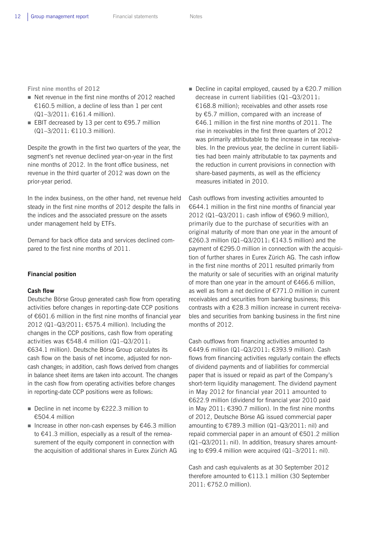**First nine months of 2012** 

- Net revenue in the first nine months of 2012 reached €160.5 million, a decline of less than 1 per cent (Q1–3/2011: €161.4 million).
- EBIT decreased by 13 per cent to  $€95.7$  million (Q1–3/2011: €110.3 million).

Despite the growth in the first two quarters of the year, the segment's net revenue declined year-on-year in the first nine months of 2012. In the front office business, net revenue in the third quarter of 2012 was down on the prior-year period.

In the index business, on the other hand, net revenue held steady in the first nine months of 2012 despite the falls in the indices and the associated pressure on the assets under management held by ETFs.

Demand for back office data and services declined compared to the first nine months of 2011.

### **Financial position**

#### **Cash flow**

Deutsche Börse Group generated cash flow from operating activities before changes in reporting-date CCP positions of €601.6 million in the first nine months of financial year 2012 (Q1–Q3/2011: €575.4 million). Including the changes in the CCP positions, cash flow from operating activities was €548.4 million (Q1–Q3/2011: €634.1 million). Deutsche Börse Group calculates its cash flow on the basis of net income, adjusted for noncash changes; in addition, cash flows derived from changes in balance sheet items are taken into account. The changes in the cash flow from operating activities before changes in reporting-date CCP positions were as follows:

- Decline in net income by  $£222.3$  million to €504.4 million
- Increase in other non-cash expenses by  $€46.3$  million to €41.3 million, especially as a result of the remeasurement of the equity component in connection with the acquisition of additional shares in Eurex Zürich AG

Decline in capital employed, caused by a  $\epsilon$ 20.7 million decrease in current liabilities (Q1–Q3/2011: €168.8 million); receivables and other assets rose by €5.7 million, compared with an increase of €46.1 million in the first nine months of 2011. The rise in receivables in the first three quarters of 2012 was primarily attributable to the increase in tax receivables. In the previous year, the decline in current liabilities had been mainly attributable to tax payments and the reduction in current provisions in connection with share-based payments, as well as the efficiency measures initiated in 2010.

Cash outflows from investing activities amounted to €644.1 million in the first nine months of financial year 2012 (Q1–Q3/2011: cash inflow of €960.9 million), primarily due to the purchase of securities with an original maturity of more than one year in the amount of €260.3 million (Q1–Q3/2011: €143.5 million) and the payment of €295.0 million in connection with the acquisition of further shares in Eurex Zürich AG. The cash inflow in the first nine months of 2011 resulted primarily from the maturity or sale of securities with an original maturity of more than one year in the amount of €466.6 million, as well as from a net decline of €771.0 million in current receivables and securities from banking business; this contrasts with a €28.3 million increase in current receivables and securities from banking business in the first nine months of 2012.

Cash outflows from financing activities amounted to €449.6 million (Q1–Q3/2011: €393.9 million). Cash flows from financing activities regularly contain the effects of dividend payments and of liabilities for commercial paper that is issued or repaid as part of the Company's short-term liquidity management. The dividend payment in May 2012 for financial year 2011 amounted to €622.9 million (dividend for financial year 2010 paid in May 2011: €390.7 million). In the first nine months of 2012, Deutsche Börse AG issued commercial paper amounting to  $\text{\textsterling}789.3$  million (Q1-Q3/2011: nil) and repaid commercial paper in an amount of €501.2 million (Q1–Q3/2011: nil). In addition, treasury shares amounting to €99.4 million were acquired  $(Q1-3/2011;$  nil).

Cash and cash equivalents as at 30 September 2012 therefore amounted to €113.1 million (30 September 2011: €752.0 million).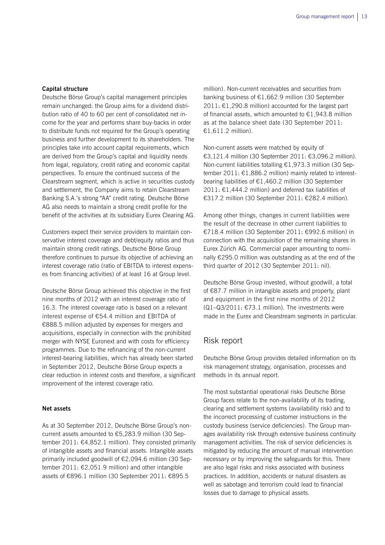## **Capital structure**

Deutsche Börse Group's capital management principles remain unchanged: the Group aims for a dividend distribution ratio of 40 to 60 per cent of consolidated net income for the year and performs share buy-backs in order to distribute funds not required for the Group's operating business and further development to its shareholders. The principles take into account capital requirements, which are derived from the Group's capital and liquidity needs from legal, regulatory, credit rating and economic capital perspectives. To ensure the continued success of the Clearstream segment, which is active in securities custody and settlement, the Company aims to retain Clearstream Banking S.A.'s strong "AA" credit rating. Deutsche Börse AG also needs to maintain a strong credit profile for the benefit of the activities at its subsidiary Eurex Clearing AG.

Customers expect their service providers to maintain conservative interest coverage and debt/equity ratios and thus maintain strong credit ratings. Deutsche Börse Group therefore continues to pursue its objective of achieving an interest coverage ratio (ratio of EBITDA to interest expenses from financing activities) of at least 16 at Group level.

Deutsche Börse Group achieved this objective in the first nine months of 2012 with an interest coverage ratio of 16.3. The interest coverage ratio is based on a relevant interest expense of €54.4 million and EBITDA of €888.5 million adjusted by expenses for mergers and acquisitions, especially in connection with the prohibited merger with NYSE Euronext and with costs for efficiency programmes. Due to the refinancing of the non-current interest-bearing liabilities, which has already been started in September 2012, Deutsche Börse Group expects a clear reduction in interest costs and therefore, a significant improvement of the interest coverage ratio.

### **Net assets**

As at 30 September 2012, Deutsche Börse Group's noncurrent assets amounted to €5,283.9 million (30 September 2011: €4,852.1 million). They consisted primarily of intangible assets and financial assets. Intangible assets primarily included goodwill of €2,094.6 million (30 September 2011: €2,051.9 million) and other intangible assets of €896.1 million (30 September 2011: €895.5

million). Non-current receivables and securities from banking business of €1,662.9 million (30 September 2011:  $€1,290.8$  million) accounted for the largest part of financial assets, which amounted to  $\epsilon$ 1,943.8 million as at the balance sheet date (30 September 2011: €1,611.2 million).

Non-current assets were matched by equity of €3,121.4 million (30 September 2011: €3,096.2 million). Non-current liabilities totalling €1,973.3 million (30 September 2011: €1,886.2 million) mainly related to interestbearing liabilities of €1,460.2 million (30 September 2011:  $£1,444.2$  million) and deferred tax liabilities of €317.2 million (30 September 2011: €282.4 million).

Among other things, changes in current liabilities were the result of the decrease in other current liabilities to €718.4 million (30 September 2011: €992.6 million) in connection with the acquisition of the remaining shares in Eurex Zürich AG. Commercial paper amounting to nominally €295.0 million was outstanding as at the end of the third quarter of 2012 (30 September 2011: nil).

Deutsche Börse Group invested, without goodwill, a total of €87.7 million in intangible assets and property, plant and equipment in the first nine months of 2012  $(Q1-Q3/2011: E73.1$  million). The investments were made in the Eurex and Clearstream segments in particular.

## Risk report

Deutsche Börse Group provides detailed information on its risk management strategy, organisation, processes and methods in its annual report.

The most substantial operational risks Deutsche Börse Group faces relate to the non-availability of its trading, clearing and settlement systems (availability risk) and to the incorrect processing of customer instructions in the custody business (service deficiencies). The Group manages availability risk through extensive business continuity management activities. The risk of service deficiencies is mitigated by reducing the amount of manual intervention necessary or by improving the safeguards for this. There are also legal risks and risks associated with business practices. In addition, accidents or natural disasters as well as sabotage and terrorism could lead to financial losses due to damage to physical assets.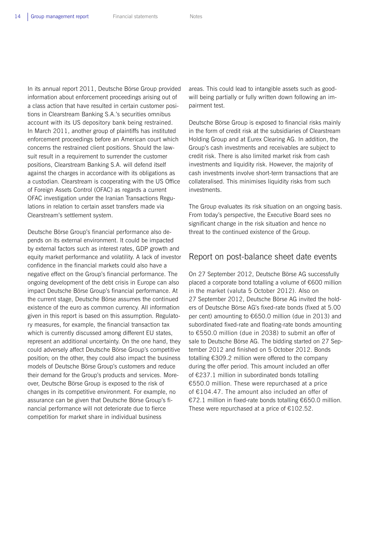In its annual report 2011, Deutsche Börse Group provided information about enforcement proceedings arising out of a class action that have resulted in certain customer positions in Clearstream Banking S.A.'s securities omnibus account with its US depository bank being restrained. In March 2011, another group of plaintiffs has instituted enforcement proceedings before an American court which concerns the restrained client positions. Should the lawsuit result in a requirement to surrender the customer positions, Clearstream Banking S.A. will defend itself against the charges in accordance with its obligations as a custodian. Clearstream is cooperating with the US Office of Foreign Assets Control (OFAC) as regards a current OFAC investigation under the Iranian Transactions Regulations in relation to certain asset transfers made via Clearstream's settlement system.

Deutsche Börse Group's financial performance also depends on its external environment. It could be impacted by external factors such as interest rates, GDP growth and equity market performance and volatility. A lack of investor confidence in the financial markets could also have a negative effect on the Group's financial performance. The ongoing development of the debt crisis in Europe can also impact Deutsche Börse Group's financial performance. At the current stage, Deutsche Börse assumes the continued existence of the euro as common currency. All information given in this report is based on this assumption. Regulatory measures, for example, the financial transaction tax which is currently discussed among different EU states, represent an additional uncertainty. On the one hand, they could adversely affect Deutsche Börse Group's competitive position; on the other, they could also impact the business models of Deutsche Börse Group's customers and reduce their demand for the Group's products and services. Moreover, Deutsche Börse Group is exposed to the risk of changes in its competitive environment. For example, no assurance can be given that Deutsche Börse Group's financial performance will not deteriorate due to fierce competition for market share in individual business

areas. This could lead to intangible assets such as goodwill being partially or fully written down following an impairment test.

Deutsche Börse Group is exposed to financial risks mainly in the form of credit risk at the subsidiaries of Clearstream Holding Group and at Eurex Clearing AG. In addition, the Group's cash investments and receivables are subject to credit risk. There is also limited market risk from cash investments and liquidity risk. However, the majority of cash investments involve short-term transactions that are collateralised. This minimises liquidity risks from such investments.

The Group evaluates its risk situation on an ongoing basis. From today's perspective, the Executive Board sees no significant change in the risk situation and hence no threat to the continued existence of the Group.

## Report on post-balance sheet date events

On 27 September 2012, Deutsche Börse AG successfully placed a corporate bond totalling a volume of €600 million in the market (valuta 5 October 2012). Also on 27 September 2012, Deutsche Börse AG invited the holders of Deutsche Börse AG's fixed-rate bonds (fixed at 5.00 per cent) amounting to €650.0 million (due in 2013) and subordinated fixed-rate and floating-rate bonds amounting to €550.0 million (due in 2038) to submit an offer of sale to Deutsche Börse AG. The bidding started on 27 September 2012 and finished on 5 October 2012. Bonds totalling €309.2 million were offered to the company during the offer period. This amount included an offer of €237.1 million in subordinated bonds totalling €550.0 million. These were repurchased at a price of €104.47. The amount also included an offer of €72.1 million in fixed-rate bonds totalling €650.0 million. These were repurchased at a price of  $£102.52$ .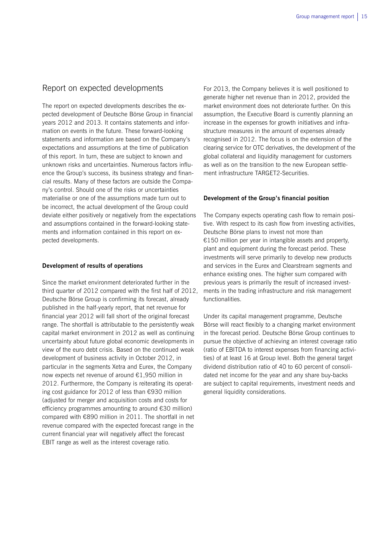## Report on expected developments

The report on expected developments describes the expected development of Deutsche Börse Group in financial years 2012 and 2013. It contains statements and information on events in the future. These forward-looking statements and information are based on the Company's expectations and assumptions at the time of publication of this report. In turn, these are subject to known and unknown risks and uncertainties. Numerous factors influence the Group's success, its business strategy and financial results. Many of these factors are outside the Company's control. Should one of the risks or uncertainties materialise or one of the assumptions made turn out to be incorrect, the actual development of the Group could deviate either positively or negatively from the expectations and assumptions contained in the forward-looking statements and information contained in this report on expected developments.

### **Development of results of operations**

Since the market environment deteriorated further in the third quarter of 2012 compared with the first half of 2012, Deutsche Börse Group is confirming its forecast, already published in the half-yearly report, that net revenue for financial year 2012 will fall short of the original forecast range. The shortfall is attributable to the persistently weak capital market environment in 2012 as well as continuing uncertainty about future global economic developments in view of the euro debt crisis. Based on the continued weak development of business activity in October 2012, in particular in the segments Xetra and Eurex, the Company now expects net revenue of around €1,950 million in 2012. Furthermore, the Company is reiterating its operating cost guidance for 2012 of less than €930 million (adjusted for merger and acquisition costs and costs for efficiency programmes amounting to around €30 million) compared with €890 million in 2011. The shortfall in net revenue compared with the expected forecast range in the current financial year will negatively affect the forecast EBIT range as well as the interest coverage ratio.

For 2013, the Company believes it is well positioned to generate higher net revenue than in 2012, provided the market environment does not deteriorate further. On this assumption, the Executive Board is currently planning an increase in the expenses for growth initiatives and infrastructure measures in the amount of expenses already recognised in 2012. The focus is on the extension of the clearing service for OTC derivatives, the development of the global collateral and liquidity management for customers as well as on the transition to the new European settlement infrastructure TARGET2-Securities.

### **Development of the Group's financial position**

The Company expects operating cash flow to remain positive. With respect to its cash flow from investing activities, Deutsche Börse plans to invest not more than €150 million per year in intangible assets and property, plant and equipment during the forecast period. These investments will serve primarily to develop new products and services in the Eurex and Clearstream segments and enhance existing ones. The higher sum compared with previous years is primarily the result of increased investments in the trading infrastructure and risk management functionalities.

Under its capital management programme, Deutsche Börse will react flexibly to a changing market environment in the forecast period. Deutsche Börse Group continues to pursue the objective of achieving an interest coverage ratio (ratio of EBITDA to interest expenses from financing activities) of at least 16 at Group level. Both the general target dividend distribution ratio of 40 to 60 percent of consolidated net income for the year and any share buy-backs are subject to capital requirements, investment needs and general liquidity considerations.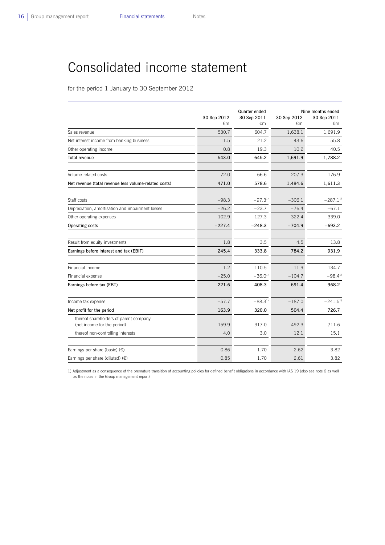# Consolidated income statement

for the period 1 January to 30 September 2012

|                                                                       | 30 Sep 2012<br>€m | Quarter ended<br>30 Sep 2011<br>€m | 30 Sep 2012<br>€m | Nine months ended<br>30 Sep 2011<br>€m |
|-----------------------------------------------------------------------|-------------------|------------------------------------|-------------------|----------------------------------------|
| Sales revenue                                                         | 530.7             | 604.7                              | 1,638.1           | 1,691.9                                |
| Net interest income from banking business                             | 11.5              | 21.2                               | 43.6              | 55.8                                   |
| Other operating income                                                | 0.8               | 19.3                               | 10.2              | 40.5                                   |
| <b>Total revenue</b>                                                  | 543.0             | 645.2                              | 1,691.9           | 1,788.2                                |
| Volume-related costs                                                  | $-72.0$           | $-66.6$                            | $-207.3$          | $-176.9$                               |
| Net revenue (total revenue less volume-related costs)                 | 471.0             | 578.6                              | 1,484.6           | 1,611.3                                |
| Staff costs                                                           | $-98.3$           | $-97.3^{11}$                       | $-306.1$          | $-287.1^{11}$                          |
| Depreciation, amortisation and impairment losses                      | $-26.2$           | $-23.7$                            | $-76.4$           | $-67.1$                                |
| Other operating expenses                                              | $-102.9$          | $-127.3$                           | $-322.4$          | $-339.0$                               |
| Operating costs                                                       | $-227.4$          | $-248.3$                           | $-704.9$          | $-693.2$                               |
| Result from equity investments                                        | 1.8               | 3.5                                | 4.5               | 13.8                                   |
| Earnings before interest and tax (EBIT)                               | 245.4             | 333.8                              | 784.2             | 931.9                                  |
| Financial income                                                      | 1.2               | 110.5                              | 11.9              | 134.7                                  |
| Financial expense                                                     | $-25.0$           | $-36.0^{11}$                       | $-104.7$          | $-98.4^{11}$                           |
| Earnings before tax (EBT)                                             | 221.6             | 408.3                              | 691.4             | 968.2                                  |
| Income tax expense                                                    | $-57.7$           | $-88.3^{11}$                       | $-187.0$          | $-241.5^{11}$                          |
| Net profit for the period                                             | 163.9             | 320.0                              | 504.4             | 726.7                                  |
| thereof shareholders of parent company<br>(net income for the period) | 159.9             | 317.0                              | 492.3             | 711.6                                  |
| thereof non-controlling interests                                     | 4.0               | 3.0                                | 12.1              | 15.1                                   |
| Earnings per share (basic) $(E)$                                      | 0.86              | 1.70                               | 2.62              | 3.82                                   |
| Earnings per share (diluted) $(\epsilon)$                             | 0.85              | 1.70                               | 2.61              | 3.82                                   |

1) Adjustment as a consequence of the premature transition of accounting policies for defined benefit obligations in accordance with IAS 19 (also see note 6 as well as the notes in the Group management report)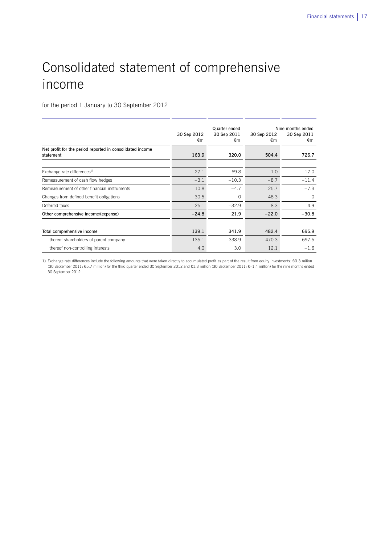# Consolidated statement of comprehensive income

for the period 1 January to 30 September 2012

|                                                                        | 30 Sep 2012<br>€m | Quarter ended<br>30 Sep 2011<br>€m | 30 Sep 2012<br>€m | Nine months ended<br>30 Sep 2011<br>€m |
|------------------------------------------------------------------------|-------------------|------------------------------------|-------------------|----------------------------------------|
| Net profit for the period reported in consolidated income<br>statement | 163.9             | 320.0                              | 504.4             | 726.7                                  |
|                                                                        |                   |                                    |                   |                                        |
| Exchange rate differences <sup>1)</sup>                                | $-27.1$           | 69.8                               | 1.0               | $-17.0$                                |
| Remeasurement of cash flow hedges                                      | $-3.1$            | $-10.3$                            | $-8.7$            | $-11.4$                                |
| Remeasurement of other financial instruments                           | 10.8              | $-4.7$                             | 25.7              | $-7.3$                                 |
| Changes from defined benefit obligations                               | $-30.5$           | $\Omega$                           | $-48.3$           | $\Omega$                               |
| Deferred taxes                                                         | 25.1              | $-32.9$                            | 8.3               | 4.9                                    |
| Other comprehensive income/(expense)                                   | $-24.8$           | 21.9                               | $-22.0$           | $-30.8$                                |
|                                                                        |                   |                                    |                   |                                        |
| Total comprehensive income                                             | 139.1             | 341.9                              | 482.4             | 695.9                                  |
| thereof shareholders of parent company                                 | 135.1             | 338.9                              | 470.3             | 697.5                                  |
| thereof non-controlling interests                                      | 4.0               | 3.0                                | 12.1              | $-1.6$                                 |

1) Exchange rate differences include the following amounts that were taken directly to accumulated profit as part of the result from equity investments: €0.3 milion (30 September 2011: €5.7 million) for the third quarter ended 30 September 2012 and €1.3 million (30 September 2011: €–1.4 million) for the nine months ended 30 September 2012.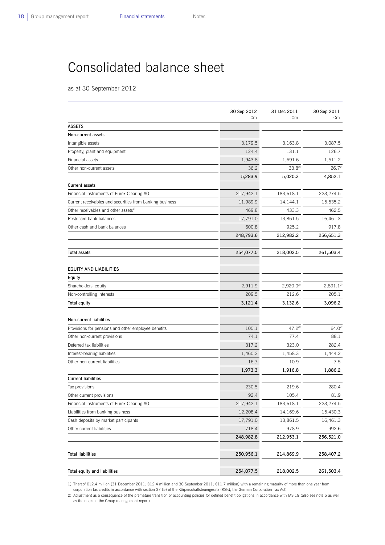# Consolidated balance sheet

as at 30 September 2012

|                                                          | 30 Sep 2012<br>€m | 31 Dec 2011<br>€m | 30 Sep 2011<br>€m |
|----------------------------------------------------------|-------------------|-------------------|-------------------|
| <b>ASSETS</b>                                            |                   |                   |                   |
| Non-current assets                                       |                   |                   |                   |
| Intangible assets                                        | 3,179.5           | 3,163.8           | 3,087.5           |
| Property, plant and equipment                            | 124.4             | 131.1             | 126.7             |
| Financial assets                                         | 1,943.8           | 1,691.6           | 1,611.2           |
| Other non-current assets                                 | 36.2              | $33.8^{2}$        | $26.7^{2}$        |
|                                                          | 5,283.9           | 5,020.3           | 4,852.1           |
| <b>Current assets</b>                                    |                   |                   |                   |
| Financial instruments of Eurex Clearing AG               | 217,942.1         | 183,618.1         | 223,274.5         |
| Current receivables and securities from banking business | 11,989.9          | 14,144.1          | 15,535.2          |
| Other receivables and other assets <sup>1)</sup>         | 469.8             | 433.3             | 462.5             |
| Restricted bank balances                                 | 17,791.0          | 13,861.5          | 16,461.3          |
| Other cash and bank balances                             | 600.8             | 925.2             | 917.8             |
|                                                          | 248,793.6         | 212,982.2         | 256,651.3         |
| <b>Total assets</b>                                      | 254,077.5         | 218,002.5         | 261,503.4         |
| <b>EQUITY AND LIABILITIES</b>                            |                   |                   |                   |
| Equity                                                   |                   |                   |                   |
| Shareholders' equity                                     | 2,911.9           | $2,920.0^{2}$     | $2,891.1^{2}$     |
| Non-controlling interests                                | 209.5             | 212.6             | 205.1             |
| Total equity                                             | 3,121.4           | 3,132.6           | 3,096.2           |
| Non-current liabilities                                  |                   |                   |                   |
| Provisions for pensions and other employee benefits      | 105.1             | $47.2^{2}$        | $64.0^{2}$        |
| Other non-current provisions                             | 74.1              | 77.4              | 88.1              |
| Deferred tax liabilities                                 | 317.2             | 323.0             | 282.4             |
| Interest-bearing liabilities                             | 1,460.2           | 1,458.3           | 1,444.2           |
| Other non-current liabilities                            | 16.7              | 10.9              | 7.5               |
|                                                          | 1,973.3           | 1,916.8           | 1,886.2           |
| <b>Current liabilities</b>                               |                   |                   |                   |
| Tax provisions                                           | 230.5             | 219.6             | 280.4             |
| Other current provisions                                 | 92.4              | 105.4             | 81.9              |
| Financial instruments of Eurex Clearing AG               | 217,942.1         | 183,618.1         | 223,274.5         |
| Liabilities from banking business                        | 12,208.4          | 14,169.6          | 15,430.3          |
| Cash deposits by market participants                     | 17,791.0          | 13,861.5          | 16,461.3          |
| Other current liabilities                                | 718.4             | 978.9             | 992.6             |
|                                                          | 248,982.8         | 212,953.1         | 256,521.0         |
| <b>Total liabilities</b>                                 | 250,956.1         | 214,869.9         | 258,407.2         |
|                                                          |                   |                   |                   |
| Total equity and liabilities                             | 254,077.5         | 218,002.5         | 261,503.4         |

1) Thereof €12.4 million (31 December 2011: €12.4 million and 30 September 2011: €11.7 million) with a remaining maturity of more than one year from corporation tax credits in accordance with section 37 (5) of the Körperschaftsteuergesetz (KStG, the German Corporation Tax Act)

2) Adjustment as a consequence of the premature transition of accounting policies for defined benefit obligations in accordance with IAS 19 (also see note 6 as well as the notes in the Group management report)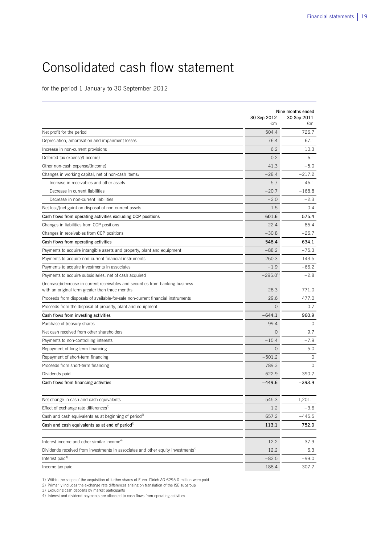# Consolidated cash flow statement

for the period 1 January to 30 September 2012

|                                                                                                                                    | Nine months ended      |                   |  |
|------------------------------------------------------------------------------------------------------------------------------------|------------------------|-------------------|--|
|                                                                                                                                    | 30 Sep 2012<br>€m      | 30 Sep 2011<br>€m |  |
| Net profit for the period                                                                                                          | 504.4                  | 726.7             |  |
| Depreciation, amortisation and impairment losses                                                                                   | 76.4                   | 67.1              |  |
| Increase in non-current provisions                                                                                                 | 6.2                    | 10.3              |  |
| Deferred tax expense/(income)                                                                                                      | 0.2                    | $-6.1$            |  |
| Other non-cash expense/(income)                                                                                                    | 41.3                   | $-5.0$            |  |
| Changes in working capital, net of non-cash items:                                                                                 | $-28.4$                | $-217.2$          |  |
| Increase in receivables and other assets                                                                                           | $-5.7$                 | $-46.1$           |  |
| Decrease in current liabilities                                                                                                    | $-20.7$                | $-168.8$          |  |
| Decrease in non-current liabilities                                                                                                | $-2.0$                 | $-2.3$            |  |
| Net loss/(net gain) on disposal of non-current assets                                                                              | 1.5                    | $-0.4$            |  |
| Cash flows from operating activities excluding CCP positions                                                                       | 601.6                  | 575.4             |  |
| Changes in liabilities from CCP positions                                                                                          | $-22.4$                | 85.4              |  |
| Changes in receivables from CCP positions                                                                                          | $-30.8$                | $-26.7$           |  |
| Cash flows from operating activities                                                                                               | 548.4                  | 634.1             |  |
| Payments to acquire intangible assets and property, plant and equipment                                                            | $-88.2$                | $-75.3$           |  |
| Payments to acquire non-current financial instruments                                                                              | $-260.3$               | $-143.5$          |  |
| Payments to acquire investments in associates                                                                                      | $-1.9$                 | $-66.2$           |  |
| Payments to acquire subsidiaries, net of cash acquired                                                                             | $-295.0$ <sup>1)</sup> | $-2.8$            |  |
| (Increase)/decrease in current receivables and securities from banking business<br>with an original term greater than three months | $-28.3$                | 771.0             |  |
| Proceeds from disposals of available-for-sale non-current financial instruments                                                    | 29.6                   | 477.0             |  |
| Proceeds from the disposal of property, plant and equipment                                                                        | $\Omega$               | 0.7               |  |
| Cash flows from investing activities                                                                                               | $-644.1$               | 960.9             |  |
| Purchase of treasury shares                                                                                                        | $-99.4$                | $\circ$           |  |
| Net cash received from other shareholders                                                                                          | $\overline{0}$         | 9.7               |  |
| Payments to non-controlling interests                                                                                              | $-15.4$                | $-7.9$            |  |
| Repayment of long-term financing                                                                                                   | $\Omega$               | $-5.0$            |  |
| Repayment of short-term financing                                                                                                  | $-501.2$               | $\Omega$          |  |
| Proceeds from short-term financing                                                                                                 | 789.3                  | $\Omega$          |  |
| Dividends paid                                                                                                                     | $-622.9$               | $-390.7$          |  |
| Cash flows from financing activities                                                                                               | $-449.6$               | $-393.9$          |  |
| Net change in cash and cash equivalents                                                                                            | $-545.3$               | 1,201.1           |  |
| Effect of exchange rate differences <sup>2)</sup>                                                                                  | 1.2                    | $-3.6$            |  |
| Cash and cash equivalents as at beginning of period <sup>3)</sup>                                                                  | 657.2                  | -445.5            |  |
| Cash and cash equivalents as at end of period <sup>3)</sup>                                                                        | 113.1                  | 752.0             |  |
| Interest income and other similar income <sup>4)</sup>                                                                             | 12.2                   | 37.9              |  |
| Dividends received from investments in associates and other equity investments <sup>4)</sup>                                       | 12.2                   | 6.3               |  |
| Interest paid <sup>4)</sup>                                                                                                        | $-82.5$                | $-99.0$           |  |
| Income tax paid                                                                                                                    | $-188.4$               | $-307.7$          |  |
|                                                                                                                                    |                        |                   |  |

1) Within the scope of the acquisition of further shares of Eurex Zürich AG €295.0 million were paid.

2) Primarily includes the exchange rate differences arising on translation of the ISE subgroup

3) Excluding cash deposits by market participants 4) Interest and dividend payments are allocated to cash flows from operating activities.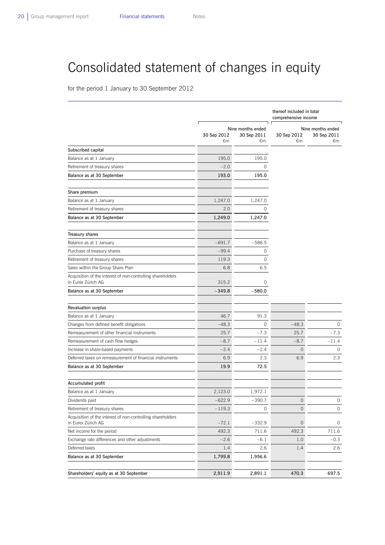# Consolidated statement of changes in equity

for the period 1 January to 30 September 2012

|                                                                                   |                   |                                        | thereof included in total<br>comprehensive income |                                        |  |
|-----------------------------------------------------------------------------------|-------------------|----------------------------------------|---------------------------------------------------|----------------------------------------|--|
|                                                                                   | 30 Sep 2012<br>€m | Nine months ended<br>30 Sep 2011<br>€m | 30 Sep 2012<br>€m                                 | Nine months ended<br>30 Sep 2011<br>€m |  |
| Subscribed capital                                                                |                   |                                        |                                                   |                                        |  |
| Balance as at 1 January                                                           | 195.0             | 195.0                                  |                                                   |                                        |  |
| Retirement of treasury shares                                                     | $-2.0$            | 0                                      |                                                   |                                        |  |
| Balance as at 30 September                                                        | 193.0             | 195.0                                  |                                                   |                                        |  |
| Share premium                                                                     |                   |                                        |                                                   |                                        |  |
| Balance as at 1 January                                                           | 1,247.0           | 1,247.0                                |                                                   |                                        |  |
| Retirement of treasury shares                                                     | 2.0               | 0                                      |                                                   |                                        |  |
| Balance as at 30 September                                                        | 1,249.0           | 1,247.0                                |                                                   |                                        |  |
| <b>Treasury shares</b>                                                            |                   |                                        |                                                   |                                        |  |
| Balance as at 1 January                                                           | $-691.7$          | $-586.5$                               |                                                   |                                        |  |
| Purchase of treasury shares                                                       | $-99.4$           | 0                                      |                                                   |                                        |  |
| Retirement of treasury shares                                                     | 119.3             | $\circ$                                |                                                   |                                        |  |
| Sales within the Group Share Plan                                                 | 6.8               | 6.5                                    |                                                   |                                        |  |
| Acquisition of the interest of non-controlling shareholders<br>in Eurex Zürich AG | 315.2             | 0                                      |                                                   |                                        |  |
| Balance as at 30 September                                                        | $-349.8$          | $-580.0$                               |                                                   |                                        |  |
| <b>Revaluation surplus</b>                                                        |                   |                                        |                                                   |                                        |  |
| Balance as at 1 January                                                           | 46.7              | 91.3                                   |                                                   |                                        |  |
| Changes from defined benefit obligations                                          | $-48.3$           | $\circ$                                | $-48.3$                                           | 0                                      |  |
| Remeasurement of other financial instruments                                      | 25.7              | $-7.3$                                 | 25.7                                              | $-7.3$                                 |  |
| Remeasurement of cash flow hedges                                                 | $-8.7$            | $-11.4$                                | $-8.7$                                            | -11.4                                  |  |
| Increase in share-based payments                                                  | $-2.4$            | $-2.4$                                 | $\mathsf{O}\xspace$                               | 0                                      |  |
| Deferred taxes on remeasurement of financial instruments                          | 6.9               | 2.3                                    | 6.9                                               | 2.3                                    |  |
| Balance as at 30 September                                                        | 19.9              | 72.5                                   |                                                   |                                        |  |
| Accumulated profit                                                                |                   |                                        |                                                   |                                        |  |
| Balance as at 1 January                                                           | 2,123.0           | 1,972.1                                |                                                   |                                        |  |
| Dividends paid                                                                    | $-622.9$          | $-390.7$                               | $\mathsf{O}\xspace$                               | $\mathsf{O}\xspace$                    |  |
| Retirement of treasury shares                                                     | $-119.3$          | 0                                      | $\circ$                                           | $\circ$                                |  |
| Acquisition of the interest of non-controlling shareholders<br>in Eurex Zürich AG | $-72.1$           | $-332.9$                               | $\mathbf 0$                                       | 0                                      |  |
| Net income for the period                                                         | 492.3             | 711.6                                  | 492.3                                             | 711.6                                  |  |
| Exchange rate differences and other adjustments                                   | $-2.6$            | $-6.1$                                 | 1.0                                               | $-0.3$                                 |  |
| Deferred taxes                                                                    | 1.4               | 2.6                                    | 1.4                                               | 2.6                                    |  |
| Balance as at 30 September                                                        | 1,799.8           | 1,956.6                                |                                                   |                                        |  |
| Shareholders' equity as at 30 September                                           | 2,911.9           | 2,891.1                                | 470.3                                             | 697.5                                  |  |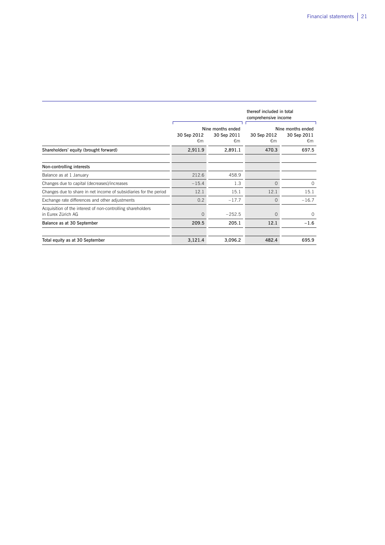|                                                                                   | thereof included in total<br>comprehensive income     |               |                   |                                        |
|-----------------------------------------------------------------------------------|-------------------------------------------------------|---------------|-------------------|----------------------------------------|
|                                                                                   | Nine months ended<br>30 Sep 2012<br>30 Sep 2011<br>€m |               | 30 Sep 2012<br>€m | Nine months ended<br>30 Sep 2011<br>€m |
| Shareholders' equity (brought forward)                                            | 2,911.9                                               | €m<br>2,891.1 | 470.3             | 697.5                                  |
| Non-controlling interests                                                         |                                                       |               |                   |                                        |
| Balance as at 1 January                                                           | 212.6                                                 | 458.9         |                   |                                        |
| Changes due to capital (decreases)/increases                                      | $-15.4$                                               | 1.3           | $\Omega$          | $\Omega$                               |
| Changes due to share in net income of subsidiaries for the period                 | 12.1                                                  | 15.1          | 12.1              | 15.1                                   |
| Exchange rate differences and other adjustments                                   | 0.2                                                   | $-17.7$       | $\Omega$          | $-16.7$                                |
| Acquisition of the interest of non-controlling shareholders<br>in Furex Zürich AG | $\Omega$                                              | $-252.5$      | $\Omega$          | $\Omega$                               |
| Balance as at 30 September                                                        | 209.5                                                 | 205.1         | 12.1              | $-1.6$                                 |
|                                                                                   |                                                       |               |                   |                                        |
| Total equity as at 30 September                                                   | 3,121.4                                               | 3,096.2       | 482.4             | 695.9                                  |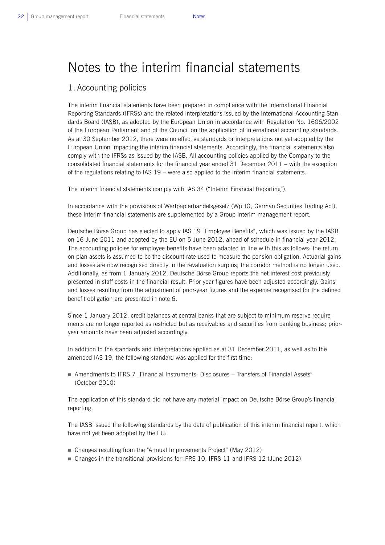# Notes to the interim financial statements

## 1. Accounting policies

The interim financial statements have been prepared in compliance with the International Financial Reporting Standards (IFRSs) and the related interpretations issued by the International Accounting Standards Board (IASB), as adopted by the European Union in accordance with Regulation No. 1606/2002 of the European Parliament and of the Council on the application of international accounting standards. As at 30 September 2012, there were no effective standards or interpretations not yet adopted by the European Union impacting the interim financial statements. Accordingly, the financial statements also comply with the IFRSs as issued by the IASB. All accounting policies applied by the Company to the consolidated financial statements for the financial year ended 31 December 2011 – with the exception of the regulations relating to IAS 19 – were also applied to the interim financial statements.

The interim financial statements comply with IAS 34 ("Interim Financial Reporting").

In accordance with the provisions of Wertpapierhandelsgesetz (WpHG, German Securities Trading Act), these interim financial statements are supplemented by a Group interim management report.

Deutsche Börse Group has elected to apply IAS 19 "Employee Benefits", which was issued by the IASB on 16 June 2011 and adopted by the EU on 5 June 2012, ahead of schedule in financial year 2012. The accounting policies for employee benefits have been adapted in line with this as follows: the return on plan assets is assumed to be the discount rate used to measure the pension obligation. Actuarial gains and losses are now recognised directly in the revaluation surplus; the corridor method is no longer used. Additionally, as from 1 January 2012, Deutsche Börse Group reports the net interest cost previously presented in staff costs in the financial result. Prior-year figures have been adjusted accordingly. Gains and losses resulting from the adjustment of prior-year figures and the expense recognised for the defined benefit obligation are presented in note 6.

Since 1 January 2012, credit balances at central banks that are subject to minimum reserve requirements are no longer reported as restricted but as receivables and securities from banking business; prioryear amounts have been adjusted accordingly.

In addition to the standards and interpretations applied as at 31 December 2011, as well as to the amended IAS 19, the following standard was applied for the first time:

Amendments to IFRS 7 ...Financial Instruments: Disclosures – Transfers of Financial Assets" (October 2010)

The application of this standard did not have any material impact on Deutsche Börse Group's financial reporting.

The IASB issued the following standards by the date of publication of this interim financial report, which have not yet been adopted by the EU:

- Changes resulting from the "Annual Improvements Project" (May 2012)
- Changes in the transitional provisions for IFRS 10, IFRS 11 and IFRS 12 (June 2012)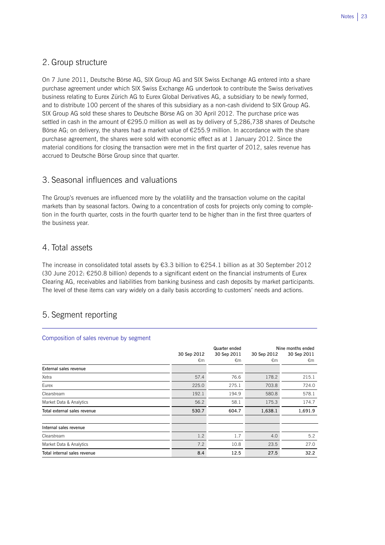## 2. Group structure

On 7 June 2011, Deutsche Börse AG, SIX Group AG and SIX Swiss Exchange AG entered into a share purchase agreement under which SIX Swiss Exchange AG undertook to contribute the Swiss derivatives business relating to Eurex Zürich AG to Eurex Global Derivatives AG, a subsidiary to be newly formed, and to distribute 100 percent of the shares of this subsidiary as a non-cash dividend to SIX Group AG. SIX Group AG sold these shares to Deutsche Börse AG on 30 April 2012. The purchase price was settled in cash in the amount of €295.0 million as well as by delivery of 5,286,738 shares of Deutsche Börse AG; on delivery, the shares had a market value of €255.9 million. In accordance with the share purchase agreement, the shares were sold with economic effect as at 1 January 2012. Since the material conditions for closing the transaction were met in the first quarter of 2012, sales revenue has accrued to Deutsche Börse Group since that quarter.

## 3. Seasonal influences and valuations

The Group's revenues are influenced more by the volatility and the transaction volume on the capital markets than by seasonal factors. Owing to a concentration of costs for projects only coming to completion in the fourth quarter, costs in the fourth quarter tend to be higher than in the first three quarters of the business year.

## 4. Total assets

The increase in consolidated total assets by €3.3 billion to €254.1 billion as at 30 September 2012  $(30 \text{ June } 2012; \text{ } \text{\textsterling}250.8 \text{ billion})$  depends to a significant extent on the financial instruments of Eurex Clearing AG, receivables and liabilities from banking business and cash deposits by market participants. The level of these items can vary widely on a daily basis according to customers' needs and actions.

# 5. Segment reporting

|                              | 30 Sep 2012<br>€m | Quarter ended<br>30 Sep 2011<br>€m | 30 Sep 2012<br>€m | Nine months ended<br>30 Sep 2011<br>€m |
|------------------------------|-------------------|------------------------------------|-------------------|----------------------------------------|
| External sales revenue       |                   |                                    |                   |                                        |
| Xetra                        | 57.4              | 76.6                               | 178.2             | 215.1                                  |
| Eurex                        | 225.0             | 275.1                              | 703.8             | 724.0                                  |
| Clearstream                  | 192.1             | 194.9                              | 580.8             | 578.1                                  |
| Market Data & Analytics      | 56.2              | 58.1                               | 175.3             | 174.7                                  |
| Total external sales revenue | 530.7             | 604.7                              | 1,638.1           | 1,691.9                                |
| Internal sales revenue       |                   |                                    |                   |                                        |
| Clearstream                  | 1.2               | 1.7                                | 4.0               | 5.2                                    |
| Market Data & Analytics      | 7.2               | 10.8                               | 23.5              | 27.0                                   |
| Total internal sales revenue | 8.4               | 12.5                               | 27.5              | 32.2                                   |

## Composition of sales revenue by segment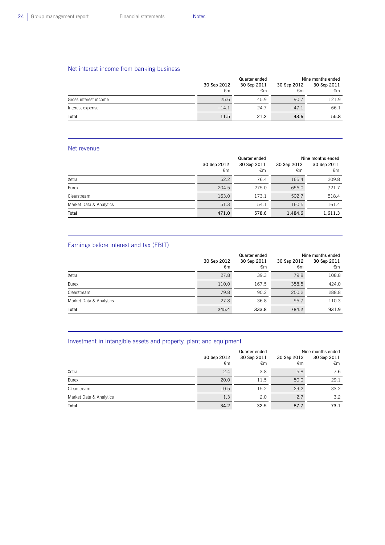$\overline{a}$ 

## Net interest income from banking business

|                       | Quarter ended |             | Nine months ended |             |  |
|-----------------------|---------------|-------------|-------------------|-------------|--|
|                       | 30 Sep 2012   | 30 Sep 2011 | 30 Sep 2012       | 30 Sep 2011 |  |
|                       | €m            | €m          | €m                | €m          |  |
| Gross interest income | 25.6          | 45.9        | 90.7              | 121.9       |  |
| Interest expense      | $-14.1$       | $-24.7$     | $-47.1$           | $-66.1$     |  |
| Total                 | 11.5          | 21.2        | 43.6              | 55.8        |  |

### Net revenue

 $\overline{a}$ 

|                         |                   | Quarter ended     | Nine months ended |                   |  |
|-------------------------|-------------------|-------------------|-------------------|-------------------|--|
|                         | 30 Sep 2012<br>€m | 30 Sep 2011<br>€m | 30 Sep 2012<br>€m | 30 Sep 2011<br>€m |  |
| Xetra                   | 52.2              | 76.4              | 165.4             | 209.8             |  |
| Eurex                   | 204.5             | 275.0             | 656.0             | 721.7             |  |
| Clearstream             | 163.0             | 173.1             | 502.7             | 518.4             |  |
| Market Data & Analytics | 51.3              | 54.1              | 160.5             | 161.4             |  |
| Total                   | 471.0             | 578.6             | 1,484.6           | 1,611.3           |  |

## Earnings before interest and tax (EBIT)

|                         | 30 Sep 2012<br>€m | Quarter ended<br>30 Sep 2011<br>€m | 30 Sep 2012<br>€m | Nine months ended<br>30 Sep 2011<br>€m |
|-------------------------|-------------------|------------------------------------|-------------------|----------------------------------------|
| Xetra                   | 27.8              | 39.3                               | 79.8              | 108.8                                  |
| Eurex                   | 110.0             | 167.5                              | 358.5             | 424.0                                  |
| Clearstream             | 79.8              | 90.2                               | 250.2             | 288.8                                  |
| Market Data & Analytics | 27.8              | 36.8                               | 95.7              | 110.3                                  |
| Total                   | 245.4             | 333.8                              | 784.2             | 931.9                                  |

## Investment in intangible assets and property, plant and equipment

|                         |                   | Quarter ended     |                   | Nine months ended |  |  |
|-------------------------|-------------------|-------------------|-------------------|-------------------|--|--|
|                         | 30 Sep 2012<br>€m | 30 Sep 2011<br>€m | 30 Sep 2012<br>€m | 30 Sep 2011<br>€m |  |  |
| Xetra                   | 2.4               | 3.8               | 5.8               | 7.6               |  |  |
| Eurex                   | 20.0              | 11.5              | 50.0              | 29.1              |  |  |
| Clearstream             | 10.5              | 15.2              | 29.2              | 33.2              |  |  |
| Market Data & Analytics | 1.3               | 2.0               | 2.7               | $3.2^{\circ}$     |  |  |
| Total                   | 34.2              | 32.5              | 87.7              | 73.1              |  |  |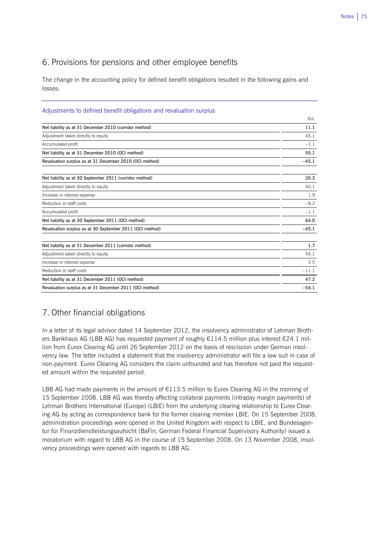## 6. Provisions for pensions and other employee benefits

The change in the accounting policy for defined benefit obligations resulted in the following gains and losses:

## Adjustments to defined benefit obligations and revaluation surplus

|                                                          | €m      |
|----------------------------------------------------------|---------|
| Net liability as at 31 December 2010 (corridor method)   | 11.1    |
| Adjustment taken directly to equity                      | 45.1    |
| Accumulated profit                                       | $-1.1$  |
| Net liability as at 31 December 2010 (OCI method)        | 55.1    |
| Revaluation surplus as at 31 December 2010 (OCI method)  | $-45.1$ |
| Net liability as at 30 September 2011 (corridor method)  | 26.3    |
| Adjustment taken directly to equity                      | 45.1    |
| Increase in interest expense                             | 1.9     |
| Reduction in staff costs                                 | $-8.2$  |
| Accumulated profit                                       | $-1.1$  |
| Net liability as at 30 September 2011 (OCI method)       | 64.0    |
| Revaluation surplus as at 30 September 2011 (OCI method) | $-45.1$ |
| Net liability as at 31 December 2011 (corridor method)   | 1.7     |
| Adjustment taken directly to equity                      | 54.1    |
| Increase in interest expense                             | 2.5     |
| Reduction in staff costs                                 | $-11.1$ |
| Net liability as at 31 December 2011 (OCI method)        | 47.2    |
| Revaluation surplus as at 31 December 2011 (OCI method)  | $-54.1$ |

# 7. Other financial obligations

In a letter of its legal advisor dated 14 September 2012, the insolvency administrator of Lehman Brothers Bankhaus AG (LBB AG) has requested payment of roughly €114.5 million plus interest €24.1 million from Eurex Clearing AG until 26 September 2012 on the basis of rescission under German insolvency law. The letter included a statement that the insolvency administrator will file a law suit in case of non-payment. Eurex Clearing AG considers the claim unfounded and has therefore not paid the requested amount within the requested period.

LBB AG had made payments in the amount of  $E113.5$  million to Eurex Clearing AG in the morning of 15 September 2008. LBB AG was thereby effecting collateral payments (intraday margin payments) of Lehman Brothers International (Europe) (LBIE) from the underlying clearing relationship to Eurex Clearing AG by acting as correspondence bank for the former clearing member LBIE. On 15 September 2008, administration proceedings were opened in the United Kingdom with respect to LBIE, and Bundesagentur für Finanzdienstleistungsaufsicht (BaFin, German Federal Financial Supervisory Authority) issued a moratorium with regard to LBB AG in the course of 15 September 2008. On 13 November 2008, insolvency proceedings were opened with regards to LBB AG.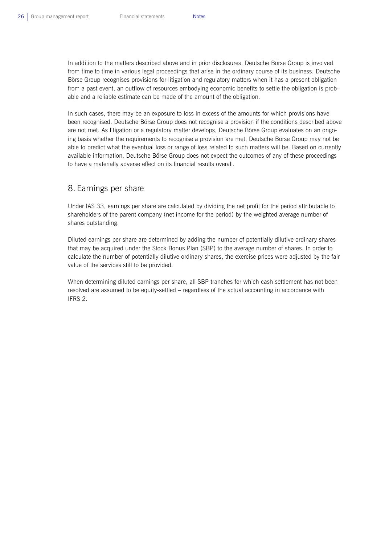In addition to the matters described above and in prior disclosures, Deutsche Börse Group is involved from time to time in various legal proceedings that arise in the ordinary course of its business. Deutsche Börse Group recognises provisions for litigation and regulatory matters when it has a present obligation from a past event, an outflow of resources embodying economic benefits to settle the obligation is probable and a reliable estimate can be made of the amount of the obligation.

In such cases, there may be an exposure to loss in excess of the amounts for which provisions have been recognised. Deutsche Börse Group does not recognise a provision if the conditions described above are not met. As litigation or a regulatory matter develops, Deutsche Börse Group evaluates on an ongoing basis whether the requirements to recognise a provision are met. Deutsche Börse Group may not be able to predict what the eventual loss or range of loss related to such matters will be. Based on currently available information, Deutsche Börse Group does not expect the outcomes of any of these proceedings to have a materially adverse effect on its financial results overall.

## 8. Earnings per share

Under IAS 33, earnings per share are calculated by dividing the net profit for the period attributable to shareholders of the parent company (net income for the period) by the weighted average number of shares outstanding.

Diluted earnings per share are determined by adding the number of potentially dilutive ordinary shares that may be acquired under the Stock Bonus Plan (SBP) to the average number of shares. In order to calculate the number of potentially dilutive ordinary shares, the exercise prices were adjusted by the fair value of the services still to be provided.

When determining diluted earnings per share, all SBP tranches for which cash settlement has not been resolved are assumed to be equity-settled – regardless of the actual accounting in accordance with IFRS 2.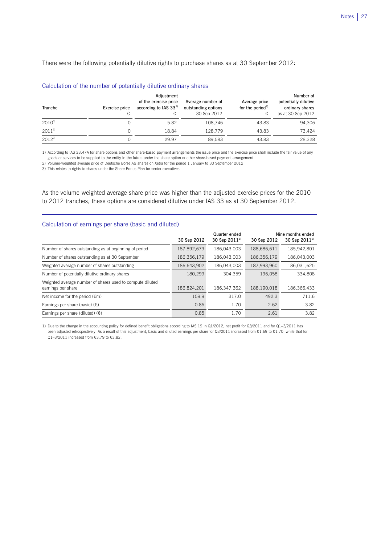There were the following potentially dilutive rights to purchase shares as at 30 September 2012:

| Calculation of the humber of potentially unutly chumaly shares |                     |                                                                       |                                                         |                                                     |                                                                           |  |  |  |  |
|----------------------------------------------------------------|---------------------|-----------------------------------------------------------------------|---------------------------------------------------------|-----------------------------------------------------|---------------------------------------------------------------------------|--|--|--|--|
| Tranche                                                        | Exercise price<br>€ | Adjustment<br>of the exercise price<br>according to IAS $33^{1}$<br>€ | Average number of<br>outstanding options<br>30 Sep 2012 | Average price<br>for the period <sup>2)</sup><br>€, | Number of<br>potentially dilutive<br>ordinary shares<br>as at 30 Sep 2012 |  |  |  |  |
| $2010^{3}$                                                     |                     | 5.82                                                                  | 108.746                                                 | 43.83                                               | 94,306                                                                    |  |  |  |  |
| $2011^{3}$                                                     |                     | 18.84                                                                 | 128.779                                                 | 43.83                                               | 73.424                                                                    |  |  |  |  |
| $2012^{3}$                                                     |                     | 29.97                                                                 | 89.583                                                  | 43.83                                               | 28.328                                                                    |  |  |  |  |

1) According to IAS 33.47A for share options and other share-based payment arrangements the issue price and the exercise price shall include the fair value of any goods or services to be supplied to the entity in the future under the share option or other share-based payment arrangement.

2) Volume-weighted average price of Deutsche Börse AG shares on Xetra for the period 1 January to 30 September 2012

3) This relates to rights to shares under the Share Bonus Plan for senior executives.

Calculation of the number of potentially dilutive ordinary shares

L

 $\overline{a}$ 

As the volume-weighted average share price was higher than the adjusted exercise prices for the 2010 to 2012 tranches, these options are considered dilutive under IAS 33 as at 30 September 2012.

## Calculation of earnings per share (basic and diluted)

|                                                                                 | 30 Sep 2012 | Quarter ended<br>30 Sep 2011 <sup>1</sup> | 30 Sep 2012 | Nine months ended<br>30 Sep $2011^{11}$ |
|---------------------------------------------------------------------------------|-------------|-------------------------------------------|-------------|-----------------------------------------|
| Number of shares outstanding as at beginning of period                          | 187,892,679 | 186.043.003                               | 188,686,611 | 185,942,801                             |
| Number of shares outstanding as at 30 September                                 | 186,356,179 | 186,043,003                               | 186,356,179 | 186,043,003                             |
| Weighted average number of shares outstanding                                   | 186,643,902 | 186.043.003                               | 187,993,960 | 186,031,625                             |
| Number of potentially dilutive ordinary shares                                  | 180.299     | 304.359                                   | 196,058     | 334.808                                 |
| Weighted average number of shares used to compute diluted<br>earnings per share | 186,824,201 | 186.347.362                               | 188.190.018 | 186.366.433                             |
| Net income for the period $(\epsilon m)$                                        | 159.9       | 317.0                                     | 492.3       | 711.6                                   |
| Earnings per share (basic) $(\epsilon)$                                         | 0.86        | 1.70                                      | 2.62        | 3.82                                    |
| Earnings per share (diluted) $(\epsilon)$                                       | 0.85        | 1.70                                      | 2.61        | 3.82                                    |

1) Due to the change in the accounting policy for defined benefit obligations according to IAS 19 in Q1/2012, net profit for Q3/2011 and for Q1–3/2011 has been adjusted retrospectively. As a result of this adjustment, basic and diluted earnings per share for Q3/2011 increased from €1.69 to €1.70, while that for Q1-3/2011 increased from €3.79 to €3.82.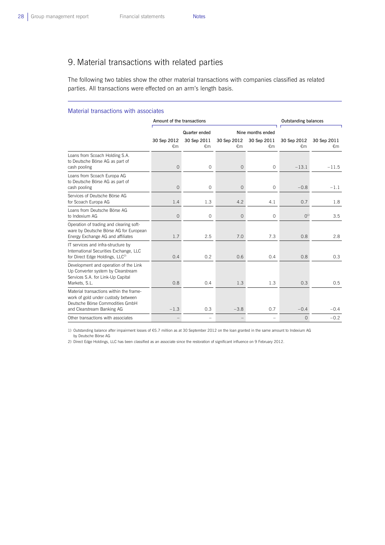L

# 9. Material transactions with related parties

The following two tables show the other material transactions with companies classified as related parties. All transactions were effected on an arm's length basis.

#### Material transactions with associates

|                                                                                                                                                | Amount of the transactions |                   | <b>Outstanding balances</b> |                   |                   |                   |
|------------------------------------------------------------------------------------------------------------------------------------------------|----------------------------|-------------------|-----------------------------|-------------------|-------------------|-------------------|
|                                                                                                                                                | Quarter ended              |                   |                             | Nine months ended |                   |                   |
|                                                                                                                                                | 30 Sep 2012<br>€m          | 30 Sep 2011<br>€m | 30 Sep 2012<br>€m           | 30 Sep 2011<br>€m | 30 Sep 2012<br>€m | 30 Sep 2011<br>€m |
| Loans from Scoach Holding S.A.<br>to Deutsche Börse AG as part of<br>cash pooling                                                              | $\overline{0}$             | $\circ$           | $\overline{0}$              | $\circ$           | $-13.1$           | $-11.5$           |
| Loans from Scoach Europa AG<br>to Deutsche Börse AG as part of<br>cash pooling                                                                 | $\overline{0}$             | $\circ$           | $\overline{0}$              | $\circ$           | $-0.8$            | $-1.1$            |
| Services of Deutsche Börse AG<br>for Scoach Europa AG                                                                                          | 1.4                        | 1.3               | 4.2                         | 4.1               | 0.7               | 1.8               |
| Loans from Deutsche Börse AG<br>to Indexium AG                                                                                                 | 0                          | $\circ$           | $\overline{0}$              | $\circ$           | O <sup>1</sup>    | 3.5               |
| Operation of trading and clearing soft-<br>ware by Deutsche Börse AG for European<br>Energy Exchange AG and affiliates                         | 1.7                        | 2.5               | 7.0                         | 7.3               | 0.8               | 2.8               |
| IT services and infra-structure by<br>International Securities Exchange, LLC<br>for Direct Edge Holdings, LLC <sup>2)</sup>                    | 0.4                        | 0.2               | 0.6                         | 0.4               | 0.8               | 0.3               |
| Development and operation of the Link<br>Up Converter system by Clearstream<br>Services S.A. for Link-Up Capital<br>Markets, S.L.              | 0.8                        | 0.4               | 1.3                         | 1.3               | 0.3               | 0.5               |
| Material transactions within the frame-<br>work of gold under custody between<br>Deutsche Börse Commodities GmbH<br>and Clearstream Banking AG | $-1.3$                     | 0.3               | $-3.8$                      | 0.7               | $-0.4$            | $-0.4$            |
| Other transactions with associates                                                                                                             |                            |                   |                             |                   | $\Omega$          | $-0.2$            |

1) Outstanding balance after impairment losses of €5.7 million as at 30 September 2012 on the loan granted in the same amount to Indexium AG by Deutsche Börse AG

2) Direct Edge Holdings, LLC has been classified as an associate since the restoration of significant influence on 9 February 2012.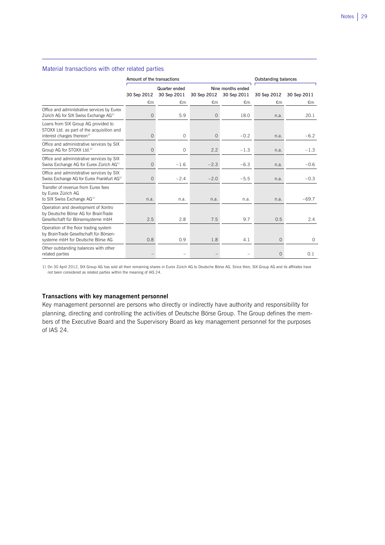### Material transactions with other related parties

 $\overline{a}$ 

|                                                                                                                            | Amount of the transactions |                              | <b>Outstanding balances</b> |                                  |             |             |
|----------------------------------------------------------------------------------------------------------------------------|----------------------------|------------------------------|-----------------------------|----------------------------------|-------------|-------------|
|                                                                                                                            | 30 Sep 2012                | Quarter ended<br>30 Sep 2011 | 30 Sep 2012                 | Nine months ended<br>30 Sep 2011 | 30 Sep 2012 | 30 Sep 2011 |
|                                                                                                                            | €m                         | €m                           | €m                          | €m                               | €m          | €m          |
| Office and administrative services by Eurex<br>Zürich AG for SIX Swiss Exchange AG <sup>1)</sup>                           | 0                          | 5.9                          | $\circ$                     | 18.0                             | n.a.        | 20.1        |
| Loans from SIX Group AG provided to<br>STOXX Ltd. as part of the acquisition and<br>interest charges thereon <sup>1)</sup> | 0                          | $\circ$                      | $\overline{0}$              | $-0.2$                           | n.a.        | $-6.2$      |
| Office and administrative services by SIX<br>Group AG for STOXX Ltd. <sup>1)</sup>                                         | 0                          | 0                            | 2.2                         | $-1.3$                           | n.a.        | $-1.3$      |
| Office and administrative services by SIX<br>Swiss Exchange AG for Eurex Zürich AG <sup>1)</sup>                           | 0                          | $-1.6$                       | $-2.3$                      | $-6.3$                           | n.a.        | $-0.6$      |
| Office and administrative services by SIX<br>Swiss Exchange AG for Eurex Frankfurt AG <sup>1)</sup>                        | $\circ$                    | $-2.4$                       | $-2.0$                      | $-5.5$                           | n.a.        | $-0.3$      |
| Transfer of revenue from Furex fees<br>by Eurex Zürich AG<br>to SIX Swiss Exchange AG <sup>1)</sup>                        | n.a.                       | n.a.                         | n.a.                        | n.a.                             | n.a.        | $-69.7$     |
| Operation and development of Xontro<br>by Deutsche Börse AG for BrainTrade<br>Gesellschaft für Börsensysteme mbH           | 2.5                        | 2.8                          | 7.5                         | 9.7                              | 0.5         | 2.4         |
| Operation of the floor trading system<br>by BrainTrade Gesellschaft für Börsen-<br>systeme mbH for Deutsche Börse AG       | 0.8                        | 0.9                          | 1.8                         | 4.1                              | $\Omega$    | $\Omega$    |
| Other outstanding balances with other<br>related parties                                                                   |                            |                              |                             |                                  | $\Omega$    | 0.1         |

1) On 30 April 2012, SIX Group AG has sold all their remaining shares in Eurex Zürich AG to Deutsche Börse AG. Since then, SIX Group AG and its affiliates have not been considered as related parties within the meaning of IAS 24.

## **Transactions with key management personnel**

Key management personnel are persons who directly or indirectly have authority and responsibility for planning, directing and controlling the activities of Deutsche Börse Group. The Group defines the members of the Executive Board and the Supervisory Board as key management personnel for the purposes of IAS 24.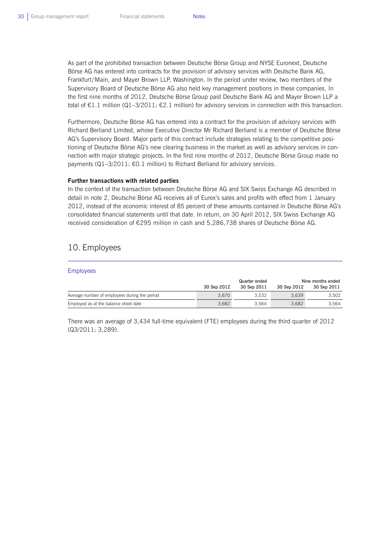As part of the prohibited transaction between Deutsche Börse Group and NYSE Euronext, Deutsche Börse AG has entered into contracts for the provision of advisory services with Deutsche Bank AG, Frankfurt/Main, and Mayer Brown LLP, Washington. In the period under review, two members of the Supervisory Board of Deutsche Börse AG also held key management positions in these companies. In the first nine months of 2012, Deutsche Börse Group paid Deutsche Bank AG and Mayer Brown LLP a total of €1.1 million (Q1–3/2011: €2.1 million) for advisory services in connection with this transaction.

Furthermore, Deutsche Börse AG has entered into a contract for the provision of advisory services with Richard Berliand Limited, whose Executive Director Mr Richard Berliand is a member of Deutsche Börse AG's Supervisory Board. Major parts of this contract include strategies relating to the competitive positioning of Deutsche Börse AG's new clearing business in the market as well as advisory services in connection with major strategic projects. In the first nine months of 2012, Deutsche Börse Group made no payments (Q1-3/2011: €0.1 million) to Richard Berliand for advisory services.

### **Further transactions with related parties**

In the context of the transaction between Deutsche Börse AG and SIX Swiss Exchange AG described in detail in note 2, Deutsche Börse AG receives all of Eurex's sales and profits with effect from 1 January 2012, instead of the economic interest of 85 percent of these amounts contained in Deutsche Börse AG's consolidated financial statements until that date. In return, on 30 April 2012, SIX Swiss Exchange AG received consideration of €295 million in cash and 5,286,738 shares of Deutsche Börse AG.

## 10. Employees

| <b>Employees</b>                              |               |             |             |                   |  |  |
|-----------------------------------------------|---------------|-------------|-------------|-------------------|--|--|
|                                               | Quarter ended |             |             | Nine months ended |  |  |
|                                               | 30 Sep 2012   | 30 Sep 2011 | 30 Sep 2012 | 30 Sep 2011       |  |  |
| Average number of employees during the period | 3.670         | 3.532       | 3.639       | 3.502             |  |  |
| Employed as at the balance sheet date         | 3.682         | 3.564       | 3.682       | 3.564             |  |  |

There was an average of 3,434 full-time equivalent (FTE) employees during the third quarter of 2012 (Q3/2011: 3,289).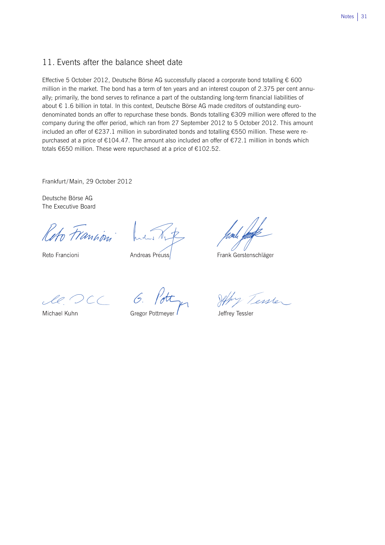## 11. Events after the balance sheet date

Effective 5 October 2012, Deutsche Börse AG successfully placed a corporate bond totalling € 600 million in the market. The bond has a term of ten years and an interest coupon of 2.375 per cent annually; primarily, the bond serves to refinance a part of the outstanding long-term financial liabilities of about € 1.6 billion in total. In this context, Deutsche Börse AG made creditors of outstanding eurodenominated bonds an offer to repurchase these bonds. Bonds totalling €309 million were offered to the company during the offer period, which ran from 27 September 2012 to 5 October 2012. This amount included an offer of €237.1 million in subordinated bonds and totalling €550 million. These were repurchased at a price of €104.47. The amount also included an offer of €72.1 million in bonds which totals €650 million. These were repurchased at a price of €102.52.

Frankfurt/Main, 29 October 2012

Deutsche Börse AG The Executive Board

Reto Francism

Reto Francioni

Andreas Preuss

Frank Gerstenschläger

 $l. OCL 6.$ 

Michael Kuhn

Gregor Pottmeyer

Jeffry Tenser

Jeffrey Tessler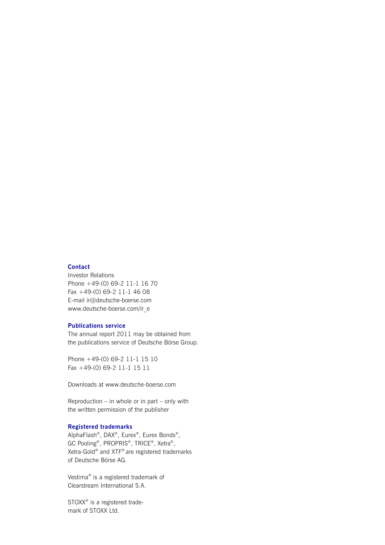## **Contact**

Investor Relations Phone +49-(0) 69-2 11-1 16 70 Fax +49-(0) 69-2 11-1 46 08 E-mail ir@deutsche-boerse.com www.deutsche-boerse.com/ir\_e

## **Publications service**

The annual report 2011 may be obtained from the publications service of Deutsche Börse Group.

Phone +49-(0) 69-2 11-1 15 10 Fax +49-(0) 69-2 11-1 15 11

Downloads at www.deutsche-boerse.com

Reproduction – in whole or in part – only with the written permission of the publisher

### **Registered trademarks**

AlphaFlash®, DAX®, Eurex®, Eurex Bonds®, GC Pooling®, PROPRIS®, TRICE®, Xetra®, Xetra-Gold® and XTF® are registered trademarks of Deutsche Börse AG.

Vestima® is a registered trademark of Clearstream International S.A.

STOXX<sup>®</sup> is a registered trademark of STOXX Ltd.